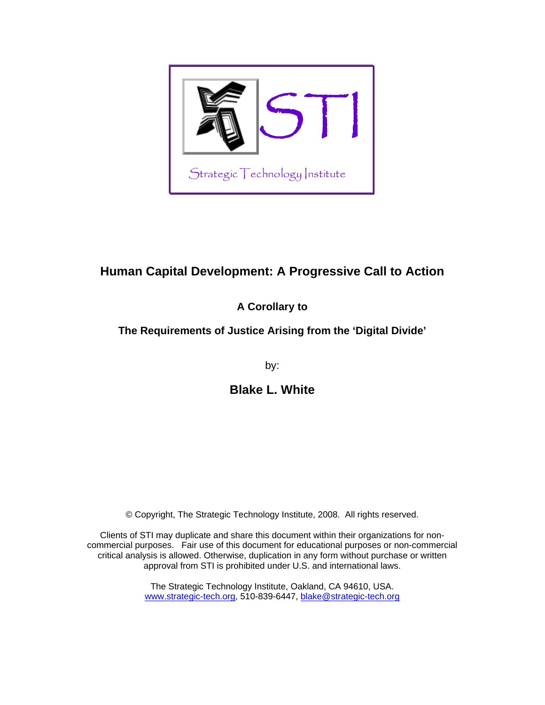

# **Human Capital Development: A Progressive Call to Action**

# **A Corollary to**

# **The Requirements of Justice Arising from the 'Digital Divide'**

by:

**Blake L. White** 

© Copyright, The Strategic Technology Institute, 2008. All rights reserved.

Clients of STI may duplicate and share this document within their organizations for noncommercial purposes. Fair use of this document for educational purposes or non-commercial critical analysis is allowed. Otherwise, duplication in any form without purchase or written approval from STI is prohibited under U.S. and international laws.

> The Strategic Technology Institute, Oakland, CA 94610, USA. [www.strategic-tech.org,](http://www.strategic-tech.org/) 510-839-6447, [blake@strategic-tech.org](mailto:blake@strategic-tech.org)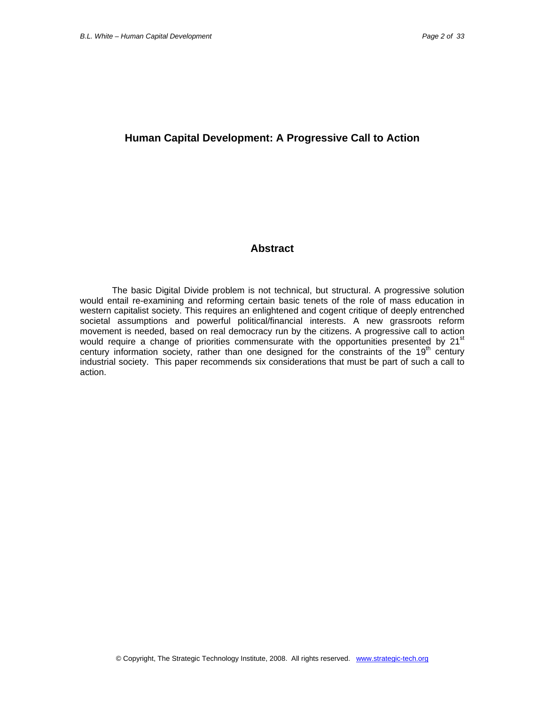# **Human Capital Development: A Progressive Call to Action**

# **Abstract**

The basic Digital Divide problem is not technical, but structural. A progressive solution would entail re-examining and reforming certain basic tenets of the role of mass education in western capitalist society. This requires an enlightened and cogent critique of deeply entrenched societal assumptions and powerful political/financial interests. A new grassroots reform movement is needed, based on real democracy run by the citizens. A progressive call to action would require a change of priorities commensurate with the opportunities presented by 21<sup>st</sup> century information society, rather than one designed for the constraints of the  $19<sup>th</sup>$  century industrial society. This paper recommends six considerations that must be part of such a call to action.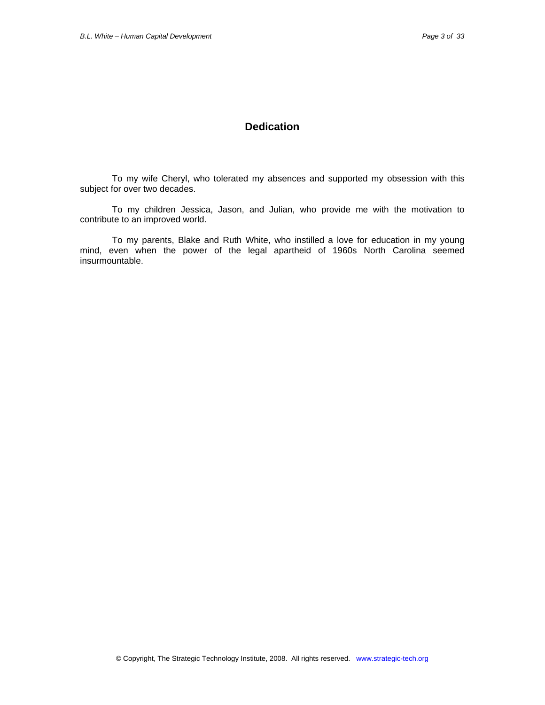# **Dedication**

To my wife Cheryl, who tolerated my absences and supported my obsession with this subject for over two decades.

To my children Jessica, Jason, and Julian, who provide me with the motivation to contribute to an improved world.

To my parents, Blake and Ruth White, who instilled a love for education in my young mind, even when the power of the legal apartheid of 1960s North Carolina seemed insurmountable.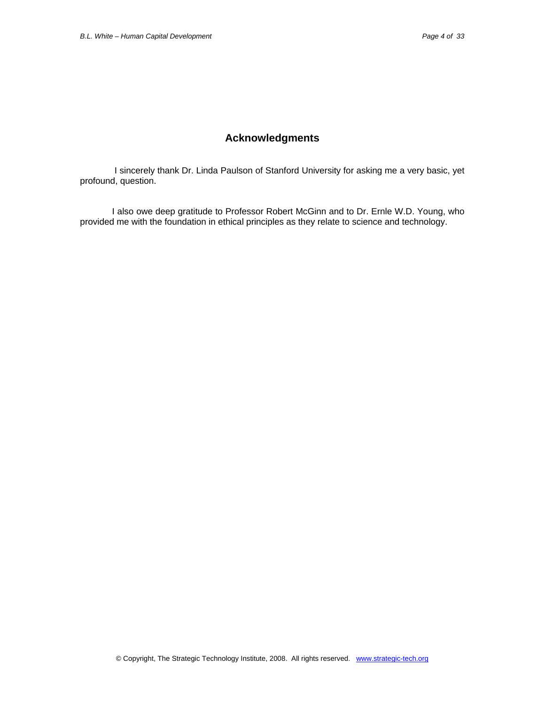# **Acknowledgments**

 I sincerely thank Dr. Linda Paulson of Stanford University for asking me a very basic, yet profound, question.

I also owe deep gratitude to Professor Robert McGinn and to Dr. Ernle W.D. Young, who provided me with the foundation in ethical principles as they relate to science and technology.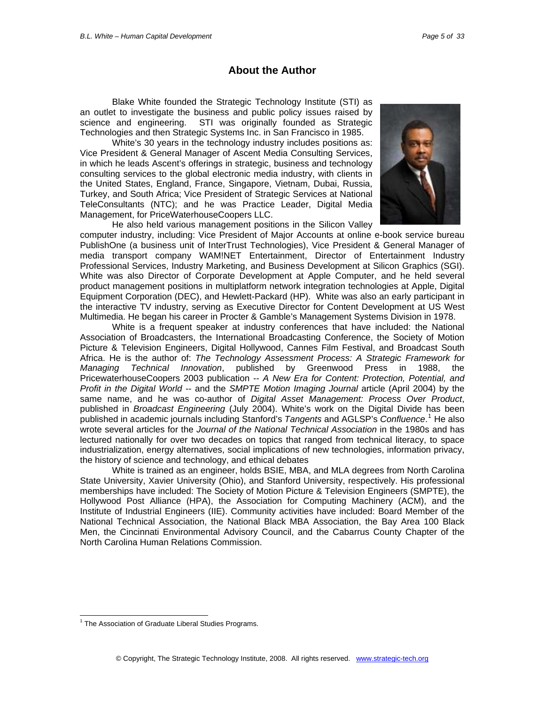# **About the Author**

Blake White founded the Strategic Technology Institute (STI) as an outlet to investigate the business and public policy issues raised by science and engineering. STI was originally founded as Strategic Technologies and then Strategic Systems Inc. in San Francisco in 1985.

White's 30 years in the technology industry includes positions as: Vice President & General Manager of Ascent Media Consulting Services, in which he leads Ascent's offerings in strategic, business and technology consulting services to the global electronic media industry, with clients in the United States, England, France, Singapore, Vietnam, Dubai, Russia, Turkey, and South Africa; Vice President of Strategic Services at National TeleConsultants (NTC); and he was Practice Leader, Digital Media Management, for PriceWaterhouseCoopers LLC.



He also held various management positions in the Silicon Valley computer industry, including: Vice President of Major Accounts at online e-book service bureau PublishOne (a business unit of InterTrust Technologies), Vice President & General Manager of media transport company WAM!NET Entertainment, Director of Entertainment Industry Professional Services, Industry Marketing, and Business Development at Silicon Graphics (SGI). White was also Director of Corporate Development at Apple Computer, and he held several product management positions in multiplatform network integration technologies at Apple, Digital Equipment Corporation (DEC), and Hewlett-Packard (HP). White was also an early participant in the interactive TV industry, serving as Executive Director for Content Development at US West Multimedia. He began his career in Procter & Gamble's Management Systems Division in 1978.

White is a frequent speaker at industry conferences that have included: the National Association of Broadcasters, the International Broadcasting Conference, the Society of Motion Picture & Television Engineers, Digital Hollywood, Cannes Film Festival, and Broadcast South Africa. He is the author of: *The Technology Assessment Process: A Strategic Framework for Managing Technical Innovation*, published by Greenwood Press in 1988, the PricewaterhouseCoopers 2003 publication -- *A New Era for Content: Protection, Potential, and Profit in the Digital World* -- and the *SMPTE Motion Imaging Journal* article (April 2004) by the same name, and he was co-author of *Digital Asset Management: Process Over Product*, published in *Broadcast Engineering* (July 2004). White's work on the Digital Divide has been published in academic journals including Stanford's Tangents and AGLSP's Confluence.<sup>[1](#page-4-0)</sup> He also wrote several articles for the *Journal of the National Technical Association* in the 1980s and has lectured nationally for over two decades on topics that ranged from technical literacy, to space industrialization, energy alternatives, social implications of new technologies, information privacy, the history of science and technology, and ethical debates

White is trained as an engineer, holds BSIE, MBA, and MLA degrees from North Carolina State University, Xavier University (Ohio), and Stanford University, respectively. His professional memberships have included: The Society of Motion Picture & Television Engineers (SMPTE), the Hollywood Post Alliance (HPA), the Association for Computing Machinery (ACM), and the Institute of Industrial Engineers (IIE). Community activities have included: Board Member of the National Technical Association, the National Black MBA Association, the Bay Area 100 Black Men, the Cincinnati Environmental Advisory Council, and the Cabarrus County Chapter of the North Carolina Human Relations Commission.

 $\overline{a}$ 

<span id="page-4-0"></span><sup>&</sup>lt;sup>1</sup> The Association of Graduate Liberal Studies Programs.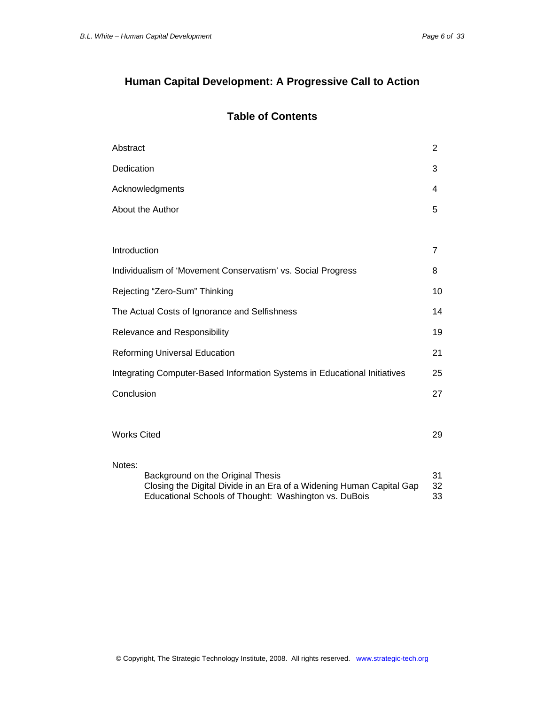# **Human Capital Development: A Progressive Call to Action**

# **Table of Contents**

| Abstract                                                                  |                                                                                                                                                                    | 2              |
|---------------------------------------------------------------------------|--------------------------------------------------------------------------------------------------------------------------------------------------------------------|----------------|
| Dedication                                                                |                                                                                                                                                                    | 3              |
| Acknowledgments                                                           |                                                                                                                                                                    | 4              |
|                                                                           | About the Author                                                                                                                                                   |                |
|                                                                           |                                                                                                                                                                    |                |
| Introduction                                                              |                                                                                                                                                                    | 7              |
| Individualism of 'Movement Conservatism' vs. Social Progress              |                                                                                                                                                                    | 8              |
| Rejecting "Zero-Sum" Thinking                                             |                                                                                                                                                                    | 10             |
| The Actual Costs of Ignorance and Selfishness                             |                                                                                                                                                                    | 14             |
| Relevance and Responsibility                                              |                                                                                                                                                                    | 19             |
| <b>Reforming Universal Education</b>                                      |                                                                                                                                                                    | 21             |
| Integrating Computer-Based Information Systems in Educational Initiatives |                                                                                                                                                                    | 25             |
|                                                                           | Conclusion                                                                                                                                                         |                |
|                                                                           |                                                                                                                                                                    |                |
|                                                                           | <b>Works Cited</b>                                                                                                                                                 |                |
| Notes:                                                                    |                                                                                                                                                                    |                |
|                                                                           | Background on the Original Thesis<br>Closing the Digital Divide in an Era of a Widening Human Capital Gap<br>Educational Schools of Thought: Washington vs. DuBois | 31<br>32<br>33 |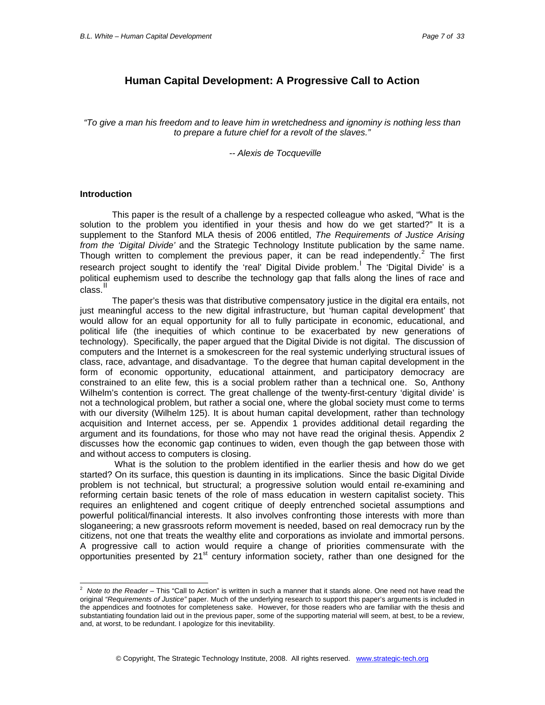# **Human Capital Development: A Progressive Call to Action**

*"To give a man his freedom and to leave him in wretchedness and ignominy is nothing less than to prepare a future chief for a revolt of the slaves."* 

#### *-- Alexis de Tocqueville*

#### **Introduction**

This paper is the result of a challenge by a respected colleague who asked, "What is the solution to the problem you identified in your thesis and how do we get started?" It is a supplement to the Stanford MLA thesis of 2006 entitled, *The Requirements of Justice Arising from the 'Digital Divide'* and the Strategic Technology Institute publication by the same name. Though written to complement the previous paper, it can be read independently.<sup>[2](#page-6-0)</sup> The first research project sought to identify the 'real' Digital Divide problem. The 'Digital Divide' is a political euphemism used to describe the technology gap that falls along the lines of race and .<br>class.<sup>[II](#page-32-1)</sup>

The paper's thesis was that distributive compensatory justice in the digital era entails, not just meaningful access to the new digital infrastructure, but 'human capital development' that would allow for an equal opportunity for all to fully participate in economic, educational, and political life (the inequities of which continue to be exacerbated by new generations of technology). Specifically, the paper argued that the Digital Divide is not digital. The discussion of computers and the Internet is a smokescreen for the real systemic underlying structural issues of class, race, advantage, and disadvantage. To the degree that human capital development in the form of economic opportunity, educational attainment, and participatory democracy are constrained to an elite few, this is a social problem rather than a technical one. So, Anthony Wilhelm's contention is correct. The great challenge of the twenty-first-century 'digital divide' is not a technological problem, but rather a social one, where the global society must come to terms with our diversity (Wilhelm 125). It is about human capital development, rather than technology acquisition and Internet access, per se. Appendix 1 provides additional detail regarding the argument and its foundations, for those who may not have read the original thesis. Appendix 2 discusses how the economic gap continues to widen, even though the gap between those with and without access to computers is closing.

 What is the solution to the problem identified in the earlier thesis and how do we get started? On its surface, this question is daunting in its implications. Since the basic Digital Divide problem is not technical, but structural; a progressive solution would entail re-examining and reforming certain basic tenets of the role of mass education in western capitalist society. This requires an enlightened and cogent critique of deeply entrenched societal assumptions and powerful political/financial interests. It also involves confronting those interests with more than sloganeering; a new grassroots reform movement is needed, based on real democracy run by the citizens, not one that treats the wealthy elite and corporations as inviolate and immortal persons. A progressive call to action would require a change of priorities commensurate with the opportunities presented by  $21<sup>st</sup>$  century information society, rather than one designed for the

<span id="page-6-0"></span> 2 *Note to the Reader* – This "Call to Action" is written in such a manner that it stands alone. One need not have read the original *"Requirements of Justice"* paper. Much of the underlying research to support this paper's arguments is included in the appendices and footnotes for completeness sake. However, for those readers who are familiar with the thesis and substantiating foundation laid out in the previous paper, some of the supporting material will seem, at best, to be a review, and, at worst, to be redundant. I apologize for this inevitability.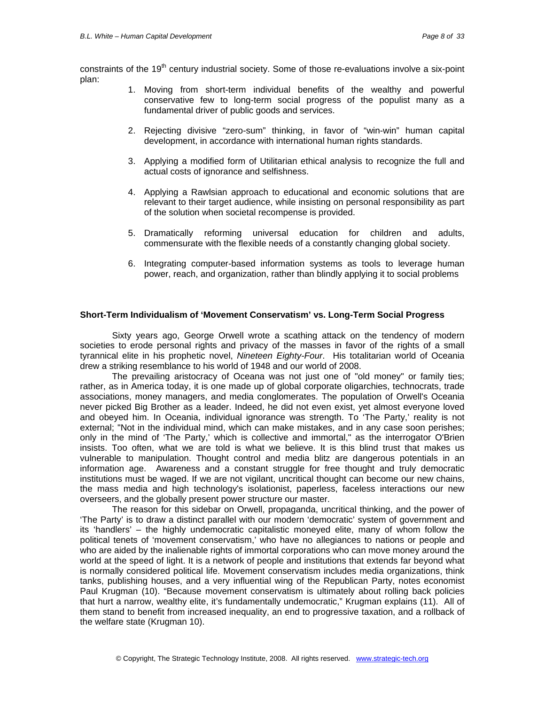constraints of the 19<sup>th</sup> century industrial society. Some of those re-evaluations involve a six-point plan:

- 1. Moving from short-term individual benefits of the wealthy and powerful conservative few to long-term social progress of the populist many as a fundamental driver of public goods and services.
- 2. Rejecting divisive "zero-sum" thinking, in favor of "win-win" human capital development, in accordance with international human rights standards.
- 3. Applying a modified form of Utilitarian ethical analysis to recognize the full and actual costs of ignorance and selfishness.
- 4. Applying a Rawlsian approach to educational and economic solutions that are relevant to their target audience, while insisting on personal responsibility as part of the solution when societal recompense is provided.
- 5. Dramatically reforming universal education for children and adults, commensurate with the flexible needs of a constantly changing global society.
- 6. Integrating computer-based information systems as tools to leverage human power, reach, and organization, rather than blindly applying it to social problems

#### **Short-Term Individualism of 'Movement Conservatism' vs. Long-Term Social Progress**

Sixty years ago, George Orwell wrote a scathing attack on the tendency of modern societies to erode personal rights and privacy of the masses in favor of the rights of a small tyrannical elite in his prophetic novel, *Nineteen Eighty-Four*. His totalitarian world of Oceania drew a striking resemblance to his world of 1948 and our world of 2008.

The prevailing aristocracy of Oceana was not just one of "old money" or family ties; rather, as in America today, it is one made up of global corporate oligarchies, technocrats, trade associations, money managers, and media conglomerates. The population of Orwell's Oceania never picked Big Brother as a leader. Indeed, he did not even exist, yet almost everyone loved and obeyed him. In Oceania, individual ignorance was strength. To 'The Party,' reality is not external; "Not in the individual mind, which can make mistakes, and in any case soon perishes; only in the mind of 'The Party,' which is collective and immortal," as the interrogator O'Brien insists. Too often, what we are told is what we believe. It is this blind trust that makes us vulnerable to manipulation. Thought control and media blitz are dangerous potentials in an information age. Awareness and a constant struggle for free thought and truly democratic institutions must be waged. If we are not vigilant, uncritical thought can become our new chains, the mass media and high technology's isolationist, paperless, faceless interactions our new overseers, and the globally present power structure our master.

The reason for this sidebar on Orwell, propaganda, uncritical thinking, and the power of 'The Party' is to draw a distinct parallel with our modern 'democratic' system of government and its 'handlers' – the highly undemocratic capitalistic moneyed elite, many of whom follow the political tenets of 'movement conservatism,' who have no allegiances to nations or people and who are aided by the inalienable rights of immortal corporations who can move money around the world at the speed of light. It is a network of people and institutions that extends far beyond what is normally considered political life. Movement conservatism includes media organizations, think tanks, publishing houses, and a very influential wing of the Republican Party, notes economist Paul Krugman (10). "Because movement conservatism is ultimately about rolling back policies that hurt a narrow, wealthy elite, it's fundamentally undemocratic," Krugman explains (11). All of them stand to benefit from increased inequality, an end to progressive taxation, and a rollback of the welfare state (Krugman 10).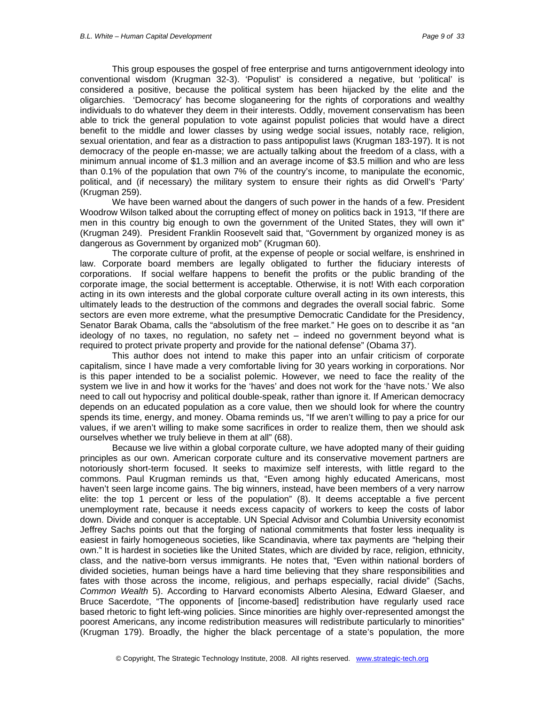This group espouses the gospel of free enterprise and turns antigovernment ideology into conventional wisdom (Krugman 32-3). 'Populist' is considered a negative, but 'political' is considered a positive, because the political system has been hijacked by the elite and the oligarchies. 'Democracy' has become sloganeering for the rights of corporations and wealthy individuals to do whatever they deem in their interests. Oddly, movement conservatism has been able to trick the general population to vote against populist policies that would have a direct benefit to the middle and lower classes by using wedge social issues, notably race, religion, sexual orientation, and fear as a distraction to pass antipopulist laws (Krugman 183-197). It is not democracy of the people en-masse; we are actually talking about the freedom of a class, with a minimum annual income of \$1.3 million and an average income of \$3.5 million and who are less than 0.1% of the population that own 7% of the country's income, to manipulate the economic, political, and (if necessary) the military system to ensure their rights as did Orwell's 'Party' (Krugman 259).

We have been warned about the dangers of such power in the hands of a few. President Woodrow Wilson talked about the corrupting effect of money on politics back in 1913, "If there are men in this country big enough to own the government of the United States, they will own it" (Krugman 249). President Franklin Roosevelt said that, "Government by organized money is as dangerous as Government by organized mob" (Krugman 60).

The corporate culture of profit, at the expense of people or social welfare, is enshrined in law. Corporate board members are legally obligated to further the fiduciary interests of corporations. If social welfare happens to benefit the profits or the public branding of the corporate image, the social betterment is acceptable. Otherwise, it is not! With each corporation acting in its own interests and the global corporate culture overall acting in its own interests, this ultimately leads to the destruction of the commons and degrades the overall social fabric. Some sectors are even more extreme, what the presumptive Democratic Candidate for the Presidency, Senator Barak Obama, calls the "absolutism of the free market." He goes on to describe it as "an ideology of no taxes, no regulation, no safety net – indeed no government beyond what is required to protect private property and provide for the national defense" (Obama 37).

This author does not intend to make this paper into an unfair criticism of corporate capitalism, since I have made a very comfortable living for 30 years working in corporations. Nor is this paper intended to be a socialist polemic. However, we need to face the reality of the system we live in and how it works for the 'haves' and does not work for the 'have nots.' We also need to call out hypocrisy and political double-speak, rather than ignore it. If American democracy depends on an educated population as a core value, then we should look for where the country spends its time, energy, and money. Obama reminds us, "If we aren't willing to pay a price for our values, if we aren't willing to make some sacrifices in order to realize them, then we should ask ourselves whether we truly believe in them at all" (68).

Because we live within a global corporate culture, we have adopted many of their guiding principles as our own. American corporate culture and its conservative movement partners are notoriously short-term focused. It seeks to maximize self interests, with little regard to the commons. Paul Krugman reminds us that, "Even among highly educated Americans, most haven't seen large income gains. The big winners, instead, have been members of a very narrow elite: the top 1 percent or less of the population" (8). It deems acceptable a five percent unemployment rate, because it needs excess capacity of workers to keep the costs of labor down. Divide and conquer is acceptable. UN Special Advisor and Columbia University economist Jeffrey Sachs points out that the forging of national commitments that foster less inequality is easiest in fairly homogeneous societies, like Scandinavia, where tax payments are "helping their own." It is hardest in societies like the United States, which are divided by race, religion, ethnicity, class, and the native-born versus immigrants. He notes that, "Even within national borders of divided societies, human beings have a hard time believing that they share responsibilities and fates with those across the income, religious, and perhaps especially, racial divide" (Sachs, *Common Wealth* 5). According to Harvard economists Alberto Alesina, Edward Glaeser, and Bruce Sacerdote, "The opponents of [income-based] redistribution have regularly used race based rhetoric to fight left-wing policies. Since minorities are highly over-represented amongst the poorest Americans, any income redistribution measures will redistribute particularly to minorities" (Krugman 179). Broadly, the higher the black percentage of a state's population, the more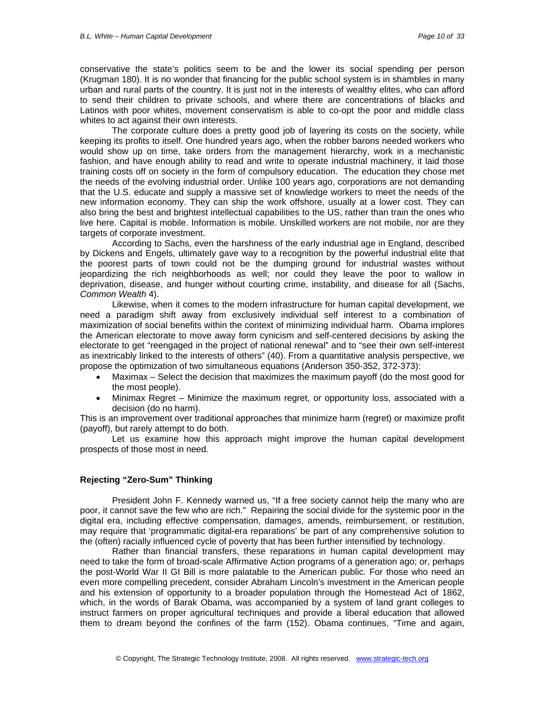conservative the state's politics seem to be and the lower its social spending per person (Krugman 180). It is no wonder that financing for the public school system is in shambles in many urban and rural parts of the country. It is just not in the interests of wealthy elites, who can afford to send their children to private schools, and where there are concentrations of blacks and Latinos with poor whites, movement conservatism is able to co-opt the poor and middle class whites to act against their own interests.

The corporate culture does a pretty good job of layering its costs on the society, while keeping its profits to itself. One hundred years ago, when the robber barons needed workers who would show up on time, take orders from the management hierarchy, work in a mechanistic fashion, and have enough ability to read and write to operate industrial machinery, it laid those training costs off on society in the form of compulsory education. The education they chose met the needs of the evolving industrial order. Unlike 100 years ago, corporations are not demanding that the U.S. educate and supply a massive set of knowledge workers to meet the needs of the new information economy. They can ship the work offshore, usually at a lower cost. They can also bring the best and brightest intellectual capabilities to the US, rather than train the ones who live here. Capital is mobile. Information is mobile. Unskilled workers are not mobile, nor are they targets of corporate investment.

According to Sachs, even the harshness of the early industrial age in England, described by Dickens and Engels, ultimately gave way to a recognition by the powerful industrial elite that the poorest parts of town could not be the dumping ground for industrial wastes without jeopardizing the rich neighborhoods as well; nor could they leave the poor to wallow in deprivation, disease, and hunger without courting crime, instability, and disease for all (Sachs, *Common Wealth* 4).

Likewise, when it comes to the modern infrastructure for human capital development, we need a paradigm shift away from exclusively individual self interest to a combination of maximization of social benefits within the context of minimizing individual harm. Obama implores the American electorate to move away form cynicism and self-centered decisions by asking the electorate to get "reengaged in the project of national renewal" and to "see their own self-interest as inextricably linked to the interests of others" (40). From a quantitative analysis perspective, we propose the optimization of two simultaneous equations (Anderson 350-352, 372-373):

- Maximax Select the decision that maximizes the maximum payoff (do the most good for the most people).
- Minimax Regret Minimize the maximum regret, or opportunity loss, associated with a decision (do no harm).

This is an improvement over traditional approaches that minimize harm (regret) or maximize profit (payoff), but rarely attempt to do both.

Let us examine how this approach might improve the human capital development prospects of those most in need.

### **Rejecting "Zero-Sum" Thinking**

President John F. Kennedy warned us, "If a free society cannot help the many who are poor, it cannot save the few who are rich." Repairing the social divide for the systemic poor in the digital era, including effective compensation, damages, amends, reimbursement, or restitution, may require that 'programmatic digital-era reparations' be part of any comprehensive solution to the (often) racially influenced cycle of poverty that has been further intensified by technology.

Rather than financial transfers, these reparations in human capital development may need to take the form of broad-scale Affirmative Action programs of a generation ago; or, perhaps the post-World War II GI Bill is more palatable to the American public. For those who need an even more compelling precedent, consider Abraham Lincoln's investment in the American people and his extension of opportunity to a broader population through the Homestead Act of 1862, which, in the words of Barak Obama, was accompanied by a system of land grant colleges to instruct farmers on proper agricultural techniques and provide a liberal education that allowed them to dream beyond the confines of the farm (152). Obama continues, "Time and again,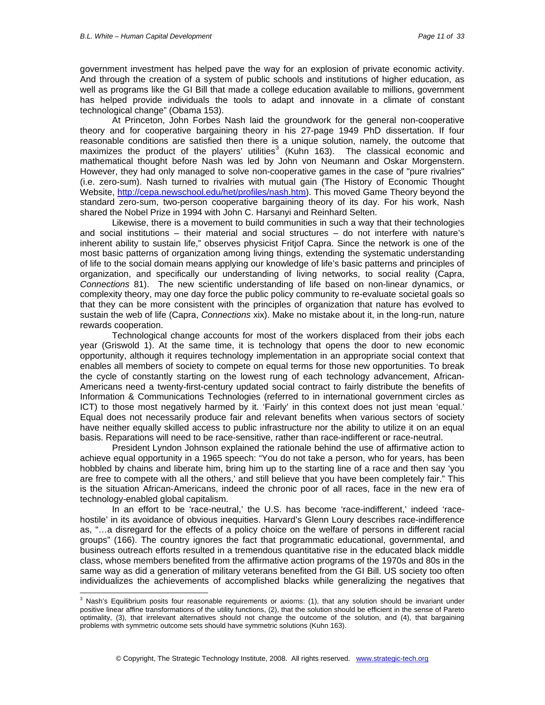government investment has helped pave the way for an explosion of private economic activity. And through the creation of a system of public schools and institutions of higher education, as well as programs like the GI Bill that made a college education available to millions, government has helped provide individuals the tools to adapt and innovate in a climate of constant technological change" (Obama 153).

At Princeton, John Forbes Nash laid the groundwork for the general non-cooperative theory and for cooperative bargaining theory in his 27-page 1949 PhD dissertation. If four reasonable conditions are satisfied then there is a unique solution, namely, the outcome that maximizes the product of the players' utilities<sup>[3](#page-10-0)</sup> (Kuhn 163). The classical economic and mathematical thought before Nash was led by John von Neumann and Oskar Morgenstern. However, they had only managed to solve non-cooperative games in the case of "pure rivalries" (i.e. zero-sum). Nash turned to rivalries with mutual gain (The History of Economic Thought Website, [http://cepa.newschool.edu/het/profiles/nash.htm\)](http://cepa.newschool.edu/het/profiles/nash.htm). This moved Game Theory beyond the standard zero-sum, two-person cooperative bargaining theory of its day. For his work, Nash shared the Nobel Prize in 1994 with John C. Harsanyi and Reinhard Selten.

Likewise, there is a movement to build communities in such a way that their technologies and social institutions – their material and social structures – do not interfere with nature's inherent ability to sustain life," observes physicist Fritjof Capra. Since the network is one of the most basic patterns of organization among living things, extending the systematic understanding of life to the social domain means applying our knowledge of life's basic patterns and principles of organization, and specifically our understanding of living networks, to social reality (Capra, *Connections* 81). The new scientific understanding of life based on non-linear dynamics, or complexity theory, may one day force the public policy community to re-evaluate societal goals so that they can be more consistent with the principles of organization that nature has evolved to sustain the web of life (Capra, *Connections* xix). Make no mistake about it, in the long-run, nature rewards cooperation.

Technological change accounts for most of the workers displaced from their jobs each year (Griswold 1). At the same time, it is technology that opens the door to new economic opportunity, although it requires technology implementation in an appropriate social context that enables all members of society to compete on equal terms for those new opportunities. To break the cycle of constantly starting on the lowest rung of each technology advancement, African-Americans need a twenty-first-century updated social contract to fairly distribute the benefits of Information & Communications Technologies (referred to in international government circles as ICT) to those most negatively harmed by it. 'Fairly' in this context does not just mean 'equal.' Equal does not necessarily produce fair and relevant benefits when various sectors of society have neither equally skilled access to public infrastructure nor the ability to utilize it on an equal basis. Reparations will need to be race-sensitive, rather than race-indifferent or race-neutral.

President Lyndon Johnson explained the rationale behind the use of affirmative action to achieve equal opportunity in a 1965 speech: "You do not take a person, who for years, has been hobbled by chains and liberate him, bring him up to the starting line of a race and then say 'you are free to compete with all the others,' and still believe that you have been completely fair." This is the situation African-Americans, indeed the chronic poor of all races, face in the new era of technology-enabled global capitalism.

In an effort to be 'race-neutral,' the U.S. has become 'race-indifferent,' indeed 'racehostile' in its avoidance of obvious inequities. Harvard's Glenn Loury describes race-indifference as, "…a disregard for the effects of a policy choice on the welfare of persons in different racial groups" (166). The country ignores the fact that programmatic educational, governmental, and business outreach efforts resulted in a tremendous quantitative rise in the educated black middle class, whose members benefited from the affirmative action programs of the 1970s and 80s in the same way as did a generation of military veterans benefited from the GI Bill. US society too often individualizes the achievements of accomplished blacks while generalizing the negatives that

<span id="page-10-0"></span> 3 Nash's Equilibrium posits four reasonable requirements or axioms: (1), that any solution should be invariant under positive linear affine transformations of the utility functions, (2), that the solution should be efficient in the sense of Pareto optimality, (3), that irrelevant alternatives should not change the outcome of the solution, and (4), that bargaining problems with symmetric outcome sets should have symmetric solutions (Kuhn 163).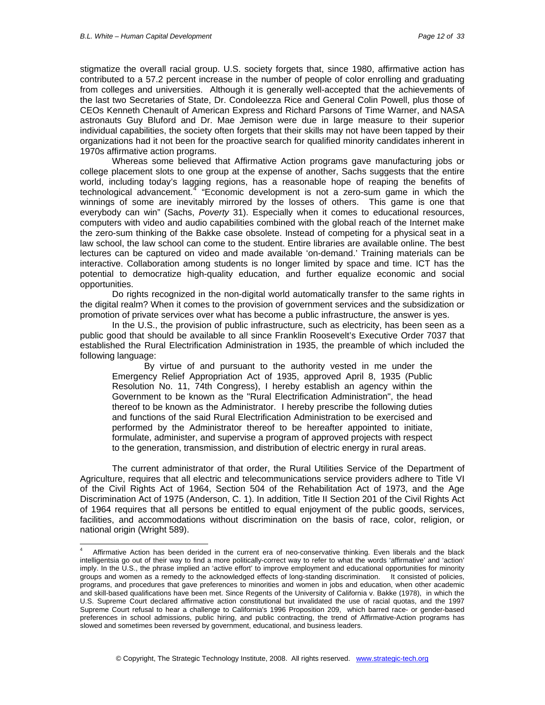1

stigmatize the overall racial group. U.S. society forgets that, since 1980, affirmative action has contributed to a 57.2 percent increase in the number of people of color enrolling and graduating from colleges and universities. Although it is generally well-accepted that the achievements of the last two Secretaries of State, Dr. Condoleezza Rice and General Colin Powell, plus those of CEOs Kenneth Chenault of American Express and Richard Parsons of Time Warner, and NASA astronauts Guy Bluford and Dr. Mae Jemison were due in large measure to their superior individual capabilities, the society often forgets that their skills may not have been tapped by their organizations had it not been for the proactive search for qualified minority candidates inherent in 1970s affirmative action programs.

Whereas some believed that Affirmative Action programs gave manufacturing jobs or college placement slots to one group at the expense of another, Sachs suggests that the entire world, including today's lagging regions, has a reasonable hope of reaping the benefits of technological advancement.<sup>[4](#page-11-0)</sup> "Economic development is not a zero-sum game in which the winnings of some are inevitably mirrored by the losses of others. This game is one that everybody can win" (Sachs, *Poverty* 31). Especially when it comes to educational resources, computers with video and audio capabilities combined with the global reach of the Internet make the zero-sum thinking of the Bakke case obsolete. Instead of competing for a physical seat in a law school, the law school can come to the student. Entire libraries are available online. The best lectures can be captured on video and made available 'on-demand.' Training materials can be interactive. Collaboration among students is no longer limited by space and time. ICT has the potential to democratize high-quality education, and further equalize economic and social opportunities.

Do rights recognized in the non-digital world automatically transfer to the same rights in the digital realm? When it comes to the provision of government services and the subsidization or promotion of private services over what has become a public infrastructure, the answer is yes.

In the U.S., the provision of public infrastructure, such as electricity, has been seen as a public good that should be available to all since Franklin Roosevelt's Executive Order 7037 that established the Rural Electrification Administration in 1935, the preamble of which included the following language:

By virtue of and pursuant to the authority vested in me under the Emergency Relief Appropriation Act of 1935, approved April 8, 1935 (Public Resolution No. 11, 74th Congress), I hereby establish an agency within the Government to be known as the "Rural Electrification Administration", the head thereof to be known as the Administrator. I hereby prescribe the following duties and functions of the said Rural Electrification Administration to be exercised and performed by the Administrator thereof to be hereafter appointed to initiate, formulate, administer, and supervise a program of approved projects with respect to the generation, transmission, and distribution of electric energy in rural areas.

The current administrator of that order, the Rural Utilities Service of the Department of Agriculture, requires that all electric and telecommunications service providers adhere to Title VI of the Civil Rights Act of 1964, Section 504 of the Rehabilitation Act of 1973, and the Age Discrimination Act of 1975 (Anderson, C. 1). In addition, Title II Section 201 of the Civil Rights Act of 1964 requires that all persons be entitled to equal enjoyment of the public goods, services, facilities, and accommodations without discrimination on the basis of race, color, religion, or national origin (Wright 589).

<span id="page-11-0"></span><sup>4</sup> Affirmative Action has been derided in the current era of neo-conservative thinking. Even liberals and the black intelligentsia go out of their way to find a more politically-correct way to refer to what the words 'affirmative' and 'action' imply. In the U.S., the phrase implied an 'active effort' to improve employment and educational opportunities for minority groups and women as a remedy to the acknowledged effects of long-standing discrimination. It consisted of policies, programs, and procedures that gave preferences to minorities and women in jobs and education, when other academic and skill-based qualifications have been met. Since Regents of the University of California v. Bakke (1978), in which the U.S. Supreme Court declared affirmative action constitutional but invalidated the use of racial quotas, and the 1997 Supreme Court refusal to hear a challenge to California's 1996 Proposition 209, which barred race- or gender-based preferences in school admissions, public hiring, and public contracting, the trend of Affirmative-Action programs has slowed and sometimes been reversed by government, educational, and business leaders.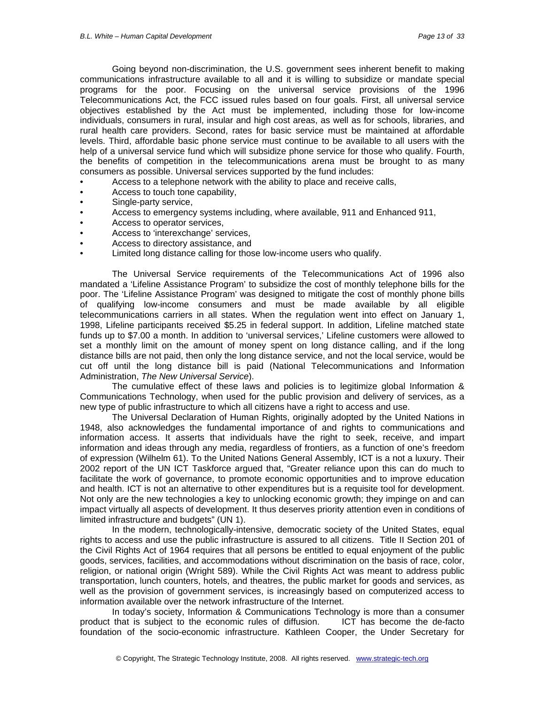Going beyond non-discrimination, the U.S. government sees inherent benefit to making communications infrastructure available to all and it is willing to subsidize or mandate special programs for the poor. Focusing on the universal service provisions of the 1996 Telecommunications Act, the FCC issued rules based on four goals. First, all universal service objectives established by the Act must be implemented, including those for low-income individuals, consumers in rural, insular and high cost areas, as well as for schools, libraries, and rural health care providers. Second, rates for basic service must be maintained at affordable levels. Third, affordable basic phone service must continue to be available to all users with the help of a universal service fund which will subsidize phone service for those who qualify. Fourth, the benefits of competition in the telecommunications arena must be brought to as many consumers as possible. Universal services supported by the fund includes:

- Access to a telephone network with the ability to place and receive calls,
- Access to touch tone capability,
- Single-party service,
- Access to emergency systems including, where available, 911 and Enhanced 911,
- Access to operator services,
- Access to 'interexchange' services,
- Access to directory assistance, and
- Limited long distance calling for those low-income users who qualify.

The Universal Service requirements of the Telecommunications Act of 1996 also mandated a 'Lifeline Assistance Program' to subsidize the cost of monthly telephone bills for the poor. The 'Lifeline Assistance Program' was designed to mitigate the cost of monthly phone bills of qualifying low-income consumers and must be made available by all eligible telecommunications carriers in all states. When the regulation went into effect on January 1, 1998, Lifeline participants received \$5.25 in federal support. In addition, Lifeline matched state funds up to \$7.00 a month. In addition to 'universal services,' Lifeline customers were allowed to set a monthly limit on the amount of money spent on long distance calling, and if the long distance bills are not paid, then only the long distance service, and not the local service, would be cut off until the long distance bill is paid (National Telecommunications and Information Administration, *The New Universal Service*).

The cumulative effect of these laws and policies is to legitimize global Information & Communications Technology, when used for the public provision and delivery of services, as a new type of public infrastructure to which all citizens have a right to access and use.

The Universal Declaration of Human Rights, originally adopted by the United Nations in 1948, also acknowledges the fundamental importance of and rights to communications and information access. It asserts that individuals have the right to seek, receive, and impart information and ideas through any media, regardless of frontiers, as a function of one's freedom of expression (Wilhelm 61). To the United Nations General Assembly, ICT is a not a luxury. Their 2002 report of the UN ICT Taskforce argued that, "Greater reliance upon this can do much to facilitate the work of governance, to promote economic opportunities and to improve education and health. ICT is not an alternative to other expenditures but is a requisite tool for development. Not only are the new technologies a key to unlocking economic growth; they impinge on and can impact virtually all aspects of development. It thus deserves priority attention even in conditions of limited infrastructure and budgets" (UN 1).

In the modern, technologically-intensive, democratic society of the United States, equal rights to access and use the public infrastructure is assured to all citizens. Title II Section 201 of the Civil Rights Act of 1964 requires that all persons be entitled to equal enjoyment of the public goods, services, facilities, and accommodations without discrimination on the basis of race, color, religion, or national origin (Wright 589). While the Civil Rights Act was meant to address public transportation, lunch counters, hotels, and theatres, the public market for goods and services, as well as the provision of government services, is increasingly based on computerized access to information available over the network infrastructure of the Internet.

In today's society, Information & Communications Technology is more than a consumer product that is subject to the economic rules of diffusion. ICT has become the de-facto foundation of the socio-economic infrastructure. Kathleen Cooper, the Under Secretary for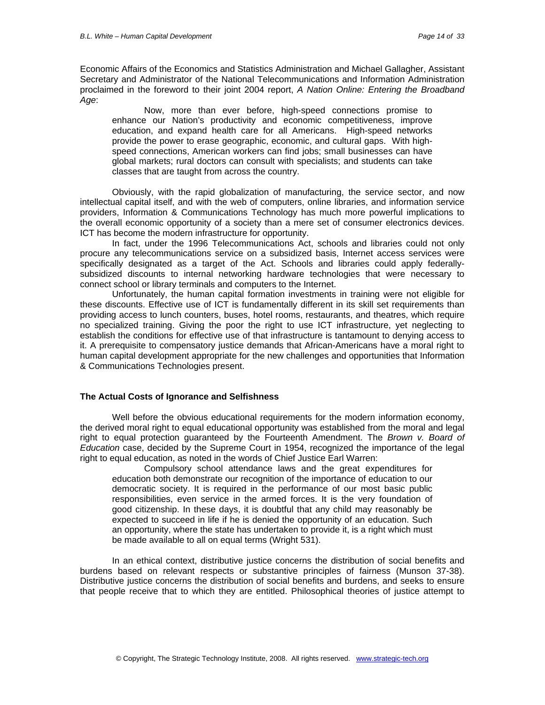Economic Affairs of the Economics and Statistics Administration and Michael Gallagher, Assistant Secretary and Administrator of the National Telecommunications and Information Administration proclaimed in the foreword to their joint 2004 report, *A Nation Online: Entering the Broadband Age*:

Now, more than ever before, high-speed connections promise to enhance our Nation's productivity and economic competitiveness, improve education, and expand health care for all Americans. High-speed networks provide the power to erase geographic, economic, and cultural gaps. With highspeed connections, American workers can find jobs; small businesses can have global markets; rural doctors can consult with specialists; and students can take classes that are taught from across the country.

Obviously, with the rapid globalization of manufacturing, the service sector, and now intellectual capital itself, and with the web of computers, online libraries, and information service providers, Information & Communications Technology has much more powerful implications to the overall economic opportunity of a society than a mere set of consumer electronics devices. ICT has become the modern infrastructure for opportunity.

In fact, under the 1996 Telecommunications Act, schools and libraries could not only procure any telecommunications service on a subsidized basis, Internet access services were specifically designated as a target of the Act. Schools and libraries could apply federallysubsidized discounts to internal networking hardware technologies that were necessary to connect school or library terminals and computers to the Internet.

Unfortunately, the human capital formation investments in training were not eligible for these discounts. Effective use of ICT is fundamentally different in its skill set requirements than providing access to lunch counters, buses, hotel rooms, restaurants, and theatres, which require no specialized training. Giving the poor the right to use ICT infrastructure, yet neglecting to establish the conditions for effective use of that infrastructure is tantamount to denying access to it. A prerequisite to compensatory justice demands that African-Americans have a moral right to human capital development appropriate for the new challenges and opportunities that Information & Communications Technologies present.

#### **The Actual Costs of Ignorance and Selfishness**

Well before the obvious educational requirements for the modern information economy, the derived moral right to equal educational opportunity was established from the moral and legal right to equal protection guaranteed by the Fourteenth Amendment. The *Brown v. Board of Education* case, decided by the Supreme Court in 1954, recognized the importance of the legal right to equal education, as noted in the words of Chief Justice Earl Warren:

Compulsory school attendance laws and the great expenditures for education both demonstrate our recognition of the importance of education to our democratic society. It is required in the performance of our most basic public responsibilities, even service in the armed forces. It is the very foundation of good citizenship. In these days, it is doubtful that any child may reasonably be expected to succeed in life if he is denied the opportunity of an education. Such an opportunity, where the state has undertaken to provide it, is a right which must be made available to all on equal terms (Wright 531).

In an ethical context, distributive justice concerns the distribution of social benefits and burdens based on relevant respects or substantive principles of fairness (Munson 37-38). Distributive justice concerns the distribution of social benefits and burdens, and seeks to ensure that people receive that to which they are entitled. Philosophical theories of justice attempt to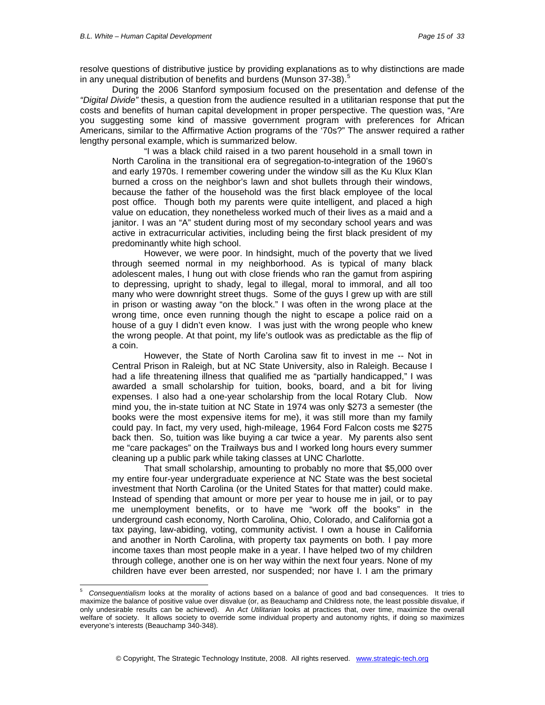-

resolve questions of distributive justice by providing explanations as to why distinctions are made in any unequal distribution of benefits and burdens (Munson 37-38).<sup>[5](#page-14-0)</sup>

During the 2006 Stanford symposium focused on the presentation and defense of the *"Digital Divide"* thesis, a question from the audience resulted in a utilitarian response that put the costs and benefits of human capital development in proper perspective. The question was, "Are you suggesting some kind of massive government program with preferences for African Americans, similar to the Affirmative Action programs of the '70s?" The answer required a rather lengthy personal example, which is summarized below.

"I was a black child raised in a two parent household in a small town in North Carolina in the transitional era of segregation-to-integration of the 1960's and early 1970s. I remember cowering under the window sill as the Ku Klux Klan burned a cross on the neighbor's lawn and shot bullets through their windows, because the father of the household was the first black employee of the local post office. Though both my parents were quite intelligent, and placed a high value on education, they nonetheless worked much of their lives as a maid and a janitor. I was an "A" student during most of my secondary school years and was active in extracurricular activities, including being the first black president of my predominantly white high school.

However, we were poor. In hindsight, much of the poverty that we lived through seemed normal in my neighborhood. As is typical of many black adolescent males, I hung out with close friends who ran the gamut from aspiring to depressing, upright to shady, legal to illegal, moral to immoral, and all too many who were downright street thugs. Some of the guys I grew up with are still in prison or wasting away "on the block." I was often in the wrong place at the wrong time, once even running though the night to escape a police raid on a house of a guy I didn't even know. I was just with the wrong people who knew the wrong people. At that point, my life's outlook was as predictable as the flip of a coin.

However, the State of North Carolina saw fit to invest in me -- Not in Central Prison in Raleigh, but at NC State University, also in Raleigh. Because I had a life threatening illness that qualified me as "partially handicapped," I was awarded a small scholarship for tuition, books, board, and a bit for living expenses. I also had a one-year scholarship from the local Rotary Club. Now mind you, the in-state tuition at NC State in 1974 was only \$273 a semester (the books were the most expensive items for me), it was still more than my family could pay. In fact, my very used, high-mileage, 1964 Ford Falcon costs me \$275 back then. So, tuition was like buying a car twice a year. My parents also sent me "care packages" on the Trailways bus and I worked long hours every summer cleaning up a public park while taking classes at UNC Charlotte.

That small scholarship, amounting to probably no more that \$5,000 over my entire four-year undergraduate experience at NC State was the best societal investment that North Carolina (or the United States for that matter) could make. Instead of spending that amount or more per year to house me in jail, or to pay me unemployment benefits, or to have me "work off the books" in the underground cash economy, North Carolina, Ohio, Colorado, and California got a tax paying, law-abiding, voting, community activist. I own a house in California and another in North Carolina, with property tax payments on both. I pay more income taxes than most people make in a year. I have helped two of my children through college, another one is on her way within the next four years. None of my children have ever been arrested, nor suspended; nor have I. I am the primary

<span id="page-14-0"></span><sup>5</sup> *Consequentialism* looks at the morality of actions based on a balance of good and bad consequences. It tries to maximize the balance of positive value over disvalue (or, as Beauchamp and Childress note, the least possible disvalue, if only undesirable results can be achieved). An *Act Utilitarian* looks at practices that, over time, maximize the overall welfare of society. It allows society to override some individual property and autonomy rights, if doing so maximizes everyone's interests (Beauchamp 340-348).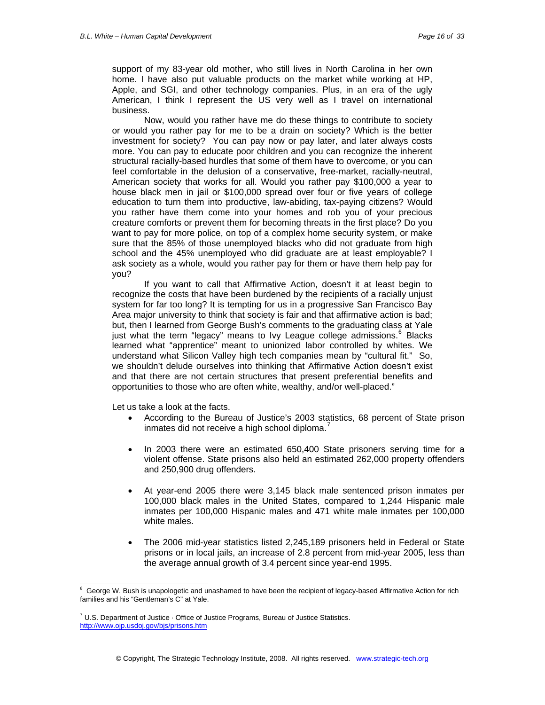support of my 83-year old mother, who still lives in North Carolina in her own home. I have also put valuable products on the market while working at HP, Apple, and SGI, and other technology companies. Plus, in an era of the ugly American, I think I represent the US very well as I travel on international business.

Now, would you rather have me do these things to contribute to society or would you rather pay for me to be a drain on society? Which is the better investment for society? You can pay now or pay later, and later always costs more. You can pay to educate poor children and you can recognize the inherent structural racially-based hurdles that some of them have to overcome, or you can feel comfortable in the delusion of a conservative, free-market, racially-neutral, American society that works for all. Would you rather pay \$100,000 a year to house black men in jail or \$100,000 spread over four or five years of college education to turn them into productive, law-abiding, tax-paying citizens? Would you rather have them come into your homes and rob you of your precious creature comforts or prevent them for becoming threats in the first place? Do you want to pay for more police, on top of a complex home security system, or make sure that the 85% of those unemployed blacks who did not graduate from high school and the 45% unemployed who did graduate are at least employable? I ask society as a whole, would you rather pay for them or have them help pay for you?

If you want to call that Affirmative Action, doesn't it at least begin to recognize the costs that have been burdened by the recipients of a racially unjust system for far too long? It is tempting for us in a progressive San Francisco Bay Area major university to think that society is fair and that affirmative action is bad; but, then I learned from George Bush's comments to the graduating class at Yale just what the term "legacy" means to Ivy League college admissions.<sup>[6](#page-15-0)</sup> Blacks learned what "apprentice" meant to unionized labor controlled by whites. We understand what Silicon Valley high tech companies mean by "cultural fit." So, we shouldn't delude ourselves into thinking that Affirmative Action doesn't exist and that there are not certain structures that present preferential benefits and opportunities to those who are often white, wealthy, and/or well-placed."

Let us take a look at the facts.

-

- According to the Bureau of Justice's 2003 statistics, 68 percent of State prison inmates did not receive a high school diploma.
- In 2003 there were an estimated 650,400 State prisoners serving time for a violent offense. State prisons also held an estimated 262,000 property offenders and 250,900 drug offenders.
- At year-end 2005 there were 3,145 black male sentenced prison inmates per 100,000 black males in the United States, compared to 1,244 Hispanic male inmates per 100,000 Hispanic males and 471 white male inmates per 100,000 white males.
- The 2006 mid-year statistics listed 2,245,189 prisoners held in Federal or State prisons or in local jails, an increase of 2.8 percent from mid-year 2005, less than the average annual growth of 3.4 percent since year-end 1995.

<span id="page-15-0"></span> $^6$  George W. Bush is unapologetic and unashamed to have been the recipient of legacy-based Affirmative Action for rich families and his "Gentleman's C" at Yale.

<span id="page-15-1"></span> $7$  U.S. Department of Justice  $\cdot$  Office of Justice Programs, Bureau of Justice Statistics. <http://www.ojp.usdoj.gov/bjs/prisons.htm>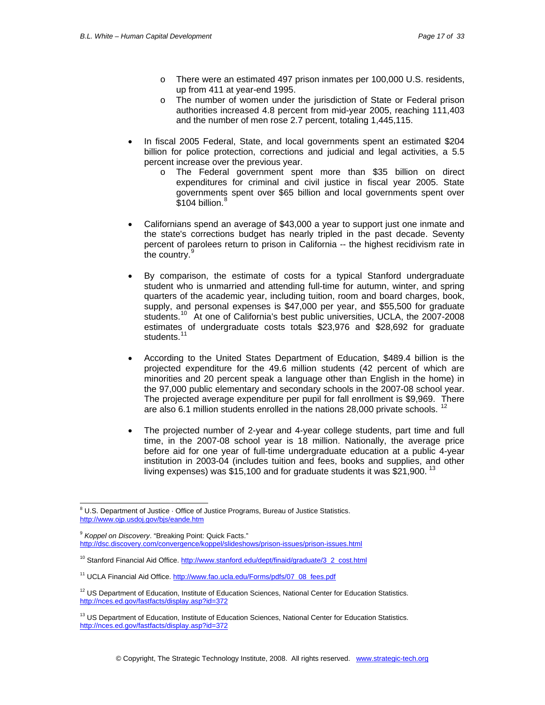- o There were an estimated 497 prison inmates per 100,000 U.S. residents, up from 411 at year-end 1995.
- o The number of women under the jurisdiction of State or Federal prison authorities increased 4.8 percent from mid-year 2005, reaching 111,403 and the number of men rose 2.7 percent, totaling 1,445,115.
- In fiscal 2005 Federal, State, and local governments spent an estimated \$204 billion for police protection, corrections and judicial and legal activities, a 5.5 percent increase over the previous year.
	- o The Federal government spent more than \$35 billion on direct expenditures for criminal and civil justice in fiscal year 2005. State governments spent over \$65 billion and local governments spent over  $$104$  billion.<sup>[8](#page-16-0)</sup>
- Californians spend an average of \$43,000 a year to support just one inmate and the state's corrections budget has nearly tripled in the past decade. Seventy percent of parolees return to prison in California -- the highest recidivism rate in the country.<sup>[9](#page-16-1)</sup>
- By comparison, the estimate of costs for a typical Stanford undergraduate student who is unmarried and attending full-time for autumn, winter, and spring quarters of the academic year, including tuition, room and board charges, book, supply, and personal expenses is \$47,000 per year, and \$55,500 for graduate students.<sup>[10](#page-16-2)</sup> At one of California's best public universities, UCLA, the 2007-2008 estimates of undergraduate costs totals \$23,976 and \$28,692 for graduate students.<sup>[11](#page-16-3)</sup>
- According to the United States Department of Education, \$489.4 billion is the projected expenditure for the 49.6 million students (42 percent of which are minorities and 20 percent speak a language other than English in the home) in the 97,000 public elementary and secondary schools in the 2007-08 school year. The projected average expenditure per pupil for fall enrollment is \$9,969. There are also 6.1 million students enrolled in the nations 28,000 private schools.
- The projected number of 2-year and 4-year college students, part time and full time, in the 2007-08 school year is 18 million. Nationally, the average price before aid for one year of full-time undergraduate education at a public 4-year institution in 2003-04 (includes tuition and fees, books and supplies, and other living expenses) was \$15,100 and for graduate students it was \$21,900.<sup>[13](#page-16-5)</sup>

<span id="page-16-1"></span><sup>9</sup> *Koppel on Discovery*. "Breaking Point: Quick Facts." <http://dsc.discovery.com/convergence/koppel/slideshows/prison-issues/prison-issues.html>

<span id="page-16-0"></span> 8 U.S. Department of Justice · Office of Justice Programs, Bureau of Justice Statistics. <http://www.ojp.usdoj.gov/bjs/eande.htm>

<span id="page-16-2"></span><sup>&</sup>lt;sup>10</sup> Stanford Financial Aid Office. [http://www.stanford.edu/dept/finaid/graduate/3\\_2\\_cost.html](http://www.stanford.edu/dept/finaid/graduate/3_2_cost.html)

<span id="page-16-3"></span><sup>&</sup>lt;sup>11</sup> UCLA Financial Aid Office. [http://www.fao.ucla.edu/Forms/pdfs/07\\_08\\_fees.pdf](http://www.fao.ucla.edu/Forms/pdfs/07_08_fees.pdf)

<span id="page-16-4"></span><sup>&</sup>lt;sup>12</sup> US Department of Education, Institute of Education Sciences, National Center for Education Statistics. <http://nces.ed.gov/fastfacts/display.asp?id=372>

<span id="page-16-5"></span><sup>&</sup>lt;sup>13</sup> US Department of Education, Institute of Education Sciences, National Center for Education Statistics. <http://nces.ed.gov/fastfacts/display.asp?id=372>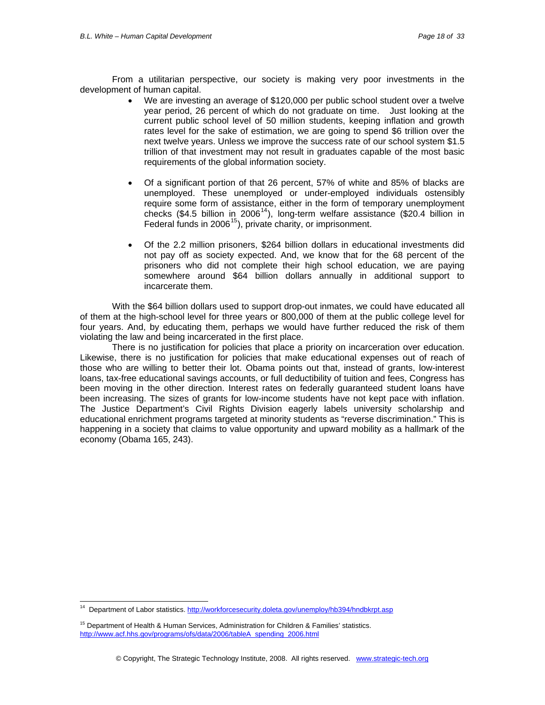From a utilitarian perspective, our society is making very poor investments in the development of human capital.

- We are investing an average of \$120,000 per public school student over a twelve year period, 26 percent of which do not graduate on time. Just looking at the current public school level of 50 million students, keeping inflation and growth rates level for the sake of estimation, we are going to spend \$6 trillion over the next twelve years. Unless we improve the success rate of our school system \$1.5 trillion of that investment may not result in graduates capable of the most basic requirements of the global information society.
- Of a significant portion of that 26 percent, 57% of white and 85% of blacks are unemployed. These unemployed or under-employed individuals ostensibly require some form of assistance, either in the form of temporary unemployment checks (\$4.5 billion in 2006<sup>[14](#page-17-0)</sup>), long-term welfare assistance (\$20.4 billion in Federal funds in  $2006^{15}$  $2006^{15}$  $2006^{15}$ ), private charity, or imprisonment.
- Of the 2.2 million prisoners, \$264 billion dollars in educational investments did not pay off as society expected. And, we know that for the 68 percent of the prisoners who did not complete their high school education, we are paying somewhere around \$64 billion dollars annually in additional support to incarcerate them.

With the \$64 billion dollars used to support drop-out inmates, we could have educated all of them at the high-school level for three years or 800,000 of them at the public college level for four years. And, by educating them, perhaps we would have further reduced the risk of them violating the law and being incarcerated in the first place.

There is no justification for policies that place a priority on incarceration over education. Likewise, there is no justification for policies that make educational expenses out of reach of those who are willing to better their lot. Obama points out that, instead of grants, low-interest loans, tax-free educational savings accounts, or full deductibility of tuition and fees, Congress has been moving in the other direction. Interest rates on federally guaranteed student loans have been increasing. The sizes of grants for low-income students have not kept pace with inflation. The Justice Department's Civil Rights Division eagerly labels university scholarship and educational enrichment programs targeted at minority students as "reverse discrimination." This is happening in a society that claims to value opportunity and upward mobility as a hallmark of the economy (Obama 165, 243).

-

<span id="page-17-0"></span><sup>&</sup>lt;sup>14</sup> Department of Labor statistics. http://workforcesecurity.doleta.gov/unemploy/hb394/hndbkrpt.asp

<span id="page-17-1"></span><sup>&</sup>lt;sup>15</sup> Department of Health & Human Services, Administration for Children & Families' statistics. [http://www.acf.hhs.gov/programs/ofs/data/2006/tableA\\_spending\\_2006.html](http://www.acf.hhs.gov/programs/ofs/data/2006/tableA_spending_2006.html)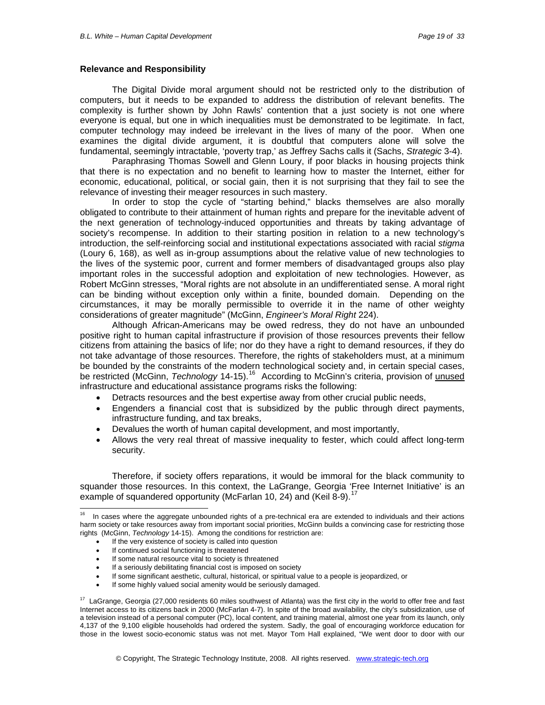#### **Relevance and Responsibility**

The Digital Divide moral argument should not be restricted only to the distribution of computers, but it needs to be expanded to address the distribution of relevant benefits. The complexity is further shown by John Rawls' contention that a just society is not one where everyone is equal, but one in which inequalities must be demonstrated to be legitimate. In fact, computer technology may indeed be irrelevant in the lives of many of the poor. When one examines the digital divide argument, it is doubtful that computers alone will solve the fundamental, seemingly intractable, 'poverty trap,' as Jeffrey Sachs calls it (Sachs, *Strategic* 3-4).

Paraphrasing Thomas Sowell and Glenn Loury, if poor blacks in housing projects think that there is no expectation and no benefit to learning how to master the Internet, either for economic, educational, political, or social gain, then it is not surprising that they fail to see the relevance of investing their meager resources in such mastery.

In order to stop the cycle of "starting behind," blacks themselves are also morally obligated to contribute to their attainment of human rights and prepare for the inevitable advent of the next generation of technology-induced opportunities and threats by taking advantage of society's recompense. In addition to their starting position in relation to a new technology's introduction, the self-reinforcing social and institutional expectations associated with racial *stigma*  (Loury 6, 168), as well as in-group assumptions about the relative value of new technologies to the lives of the systemic poor, current and former members of disadvantaged groups also play important roles in the successful adoption and exploitation of new technologies. However, as Robert McGinn stresses, "Moral rights are not absolute in an undifferentiated sense. A moral right can be binding without exception only within a finite, bounded domain. Depending on the circumstances, it may be morally permissible to override it in the name of other weighty considerations of greater magnitude" (McGinn, *Engineer's Moral Right* 224).

Although African-Americans may be owed redress, they do not have an unbounded positive right to human capital infrastructure if provision of those resources prevents their fellow citizens from attaining the basics of life; nor do they have a right to demand resources, if they do not take advantage of those resources. Therefore, the rights of stakeholders must, at a minimum be bounded by the constraints of the modern technological society and, in certain special cases, be restricted (McGinn, *Technology* 14-15).[16](#page-18-0) According to McGinn's criteria, provision of unused infrastructure and educational assistance programs risks the following:

- Detracts resources and the best expertise away from other crucial public needs,
- Engenders a financial cost that is subsidized by the public through direct payments, infrastructure funding, and tax breaks,
- Devalues the worth of human capital development, and most importantly,
- Allows the very real threat of massive inequality to fester, which could affect long-term security.

Therefore, if society offers reparations, it would be immoral for the black community to squander those resources. In this context, the LaGrange, Georgia 'Free Internet Initiative' is an example of squandered opportunity (McFarlan 10, 24) and (Keil 8-9).<sup>[17](#page-18-1)</sup>

- If the very existence of society is called into question
- If continued social functioning is threatened
- If some natural resource vital to society is threatened
- If a seriously debilitating financial cost is imposed on society
- If some significant aesthetic, cultural, historical, or spiritual value to a people is jeopardized, or
- If some highly valued social amenity would be seriously damaged.

<span id="page-18-0"></span> $16$ In cases where the aggregate unbounded rights of a pre-technical era are extended to individuals and their actions harm society or take resources away from important social priorities, McGinn builds a convincing case for restricting those rights (McGinn, *Technology* 14-15). Among the conditions for restriction are:

<span id="page-18-1"></span><sup>&</sup>lt;sup>17</sup> LaGrange, Georgia (27,000 residents 60 miles southwest of Atlanta) was the first city in the world to offer free and fast Internet access to its citizens back in 2000 (McFarlan 4-7). In spite of the broad availability, the city's subsidization, use of a television instead of a personal computer (PC), local content, and training material, almost one year from its launch, only 4,137 of the 9,100 eligible households had ordered the system. Sadly, the goal of encouraging workforce education for those in the lowest socio-economic status was not met. Mayor Tom Hall explained, "We went door to door with our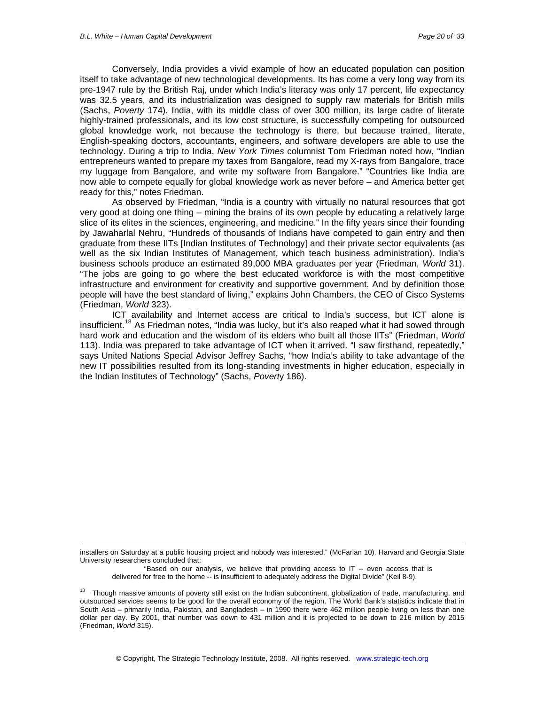1

Conversely, India provides a vivid example of how an educated population can position itself to take advantage of new technological developments. Its has come a very long way from its pre-1947 rule by the British Raj, under which India's literacy was only 17 percent, life expectancy was 32.5 years, and its industrialization was designed to supply raw materials for British mills (Sachs, *Poverty* 174). India, with its middle class of over 300 million, its large cadre of literate highly-trained professionals, and its low cost structure, is successfully competing for outsourced global knowledge work, not because the technology is there, but because trained, literate, English-speaking doctors, accountants, engineers, and software developers are able to use the technology. During a trip to India, *New York Times* columnist Tom Friedman noted how, "Indian entrepreneurs wanted to prepare my taxes from Bangalore, read my X-rays from Bangalore, trace my luggage from Bangalore, and write my software from Bangalore." "Countries like India are now able to compete equally for global knowledge work as never before – and America better get ready for this," notes Friedman.

As observed by Friedman, "India is a country with virtually no natural resources that got very good at doing one thing – mining the brains of its own people by educating a relatively large slice of its elites in the sciences, engineering, and medicine." In the fifty years since their founding by Jawaharlal Nehru, "Hundreds of thousands of Indians have competed to gain entry and then graduate from these IITs [Indian Institutes of Technology] and their private sector equivalents (as well as the six Indian Institutes of Management, which teach business administration). India's business schools produce an estimated 89,000 MBA graduates per year (Friedman, *World* 31). "The jobs are going to go where the best educated workforce is with the most competitive infrastructure and environment for creativity and supportive government. And by definition those people will have the best standard of living," explains John Chambers, the CEO of Cisco Systems (Friedman, *World* 323).

ICT availability and Internet access are critical to India's success, but ICT alone is insufficient.[18](#page-19-0) As Friedman notes, "India was lucky, but it's also reaped what it had sowed through hard work and education and the wisdom of its elders who built all those IITs" (Friedman, *World* 113). India was prepared to take advantage of ICT when it arrived. "I saw firsthand, repeatedly," says United Nations Special Advisor Jeffrey Sachs, "how India's ability to take advantage of the new IT possibilities resulted from its long-standing investments in higher education, especially in the Indian Institutes of Technology" (Sachs, *Povert*y 186).

installers on Saturday at a public housing project and nobody was interested." (McFarlan 10). Harvard and Georgia State University researchers concluded that:

"Based on our analysis, we believe that providing access to IT -- even access that is delivered for free to the home -- is insufficient to adequately address the Digital Divide" (Keil 8-9).

<span id="page-19-0"></span><sup>&</sup>lt;sup>18</sup> Though massive amounts of poverty still exist on the Indian subcontinent, globalization of trade, manufacturing, and outsourced services seems to be good for the overall economy of the region. The World Bank's statistics indicate that in South Asia – primarily India, Pakistan, and Bangladesh – in 1990 there were 462 million people living on less than one dollar per day. By 2001, that number was down to 431 million and it is projected to be down to 216 million by 2015 (Friedman, *World* 315).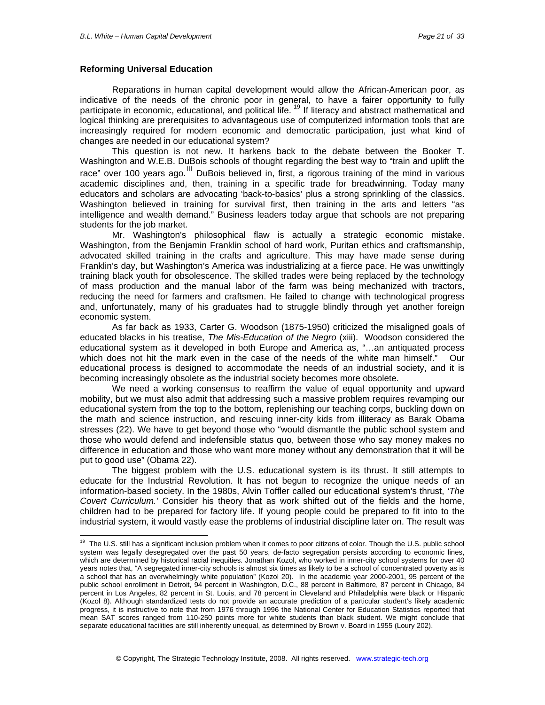#### **Reforming Universal Education**

 $\overline{a}$ 

Reparations in human capital development would allow the African-American poor, as indicative of the needs of the chronic poor in general, to have a fairer opportunity to fully participate in economic, educational, and political life. <sup>[19](#page-20-0)</sup> If literacy and abstract mathematical and logical thinking are prerequisites to advantageous use of computerized information tools that are increasingly required for modern economic and democratic participation, just what kind of changes are needed in our educational system?

This question is not new. It harkens back to the debate between the Booker T. Washington and W.E.B. DuBois schools of thought regarding the best way to "train and uplift the race" over 100 years ago.<sup>[III](#page-32-1)</sup> DuBois believed in, first, a rigorous training of the mind in various academic disciplines and, then, training in a specific trade for breadwinning. Today many educators and scholars are advocating 'back-to-basics' plus a strong sprinkling of the classics. Washington believed in training for survival first, then training in the arts and letters "as intelligence and wealth demand." Business leaders today argue that schools are not preparing students for the job market.

Mr. Washington's philosophical flaw is actually a strategic economic mistake. Washington, from the Benjamin Franklin school of hard work, Puritan ethics and craftsmanship, advocated skilled training in the crafts and agriculture. This may have made sense during Franklin's day, but Washington's America was industrializing at a fierce pace. He was unwittingly training black youth for obsolescence. The skilled trades were being replaced by the technology of mass production and the manual labor of the farm was being mechanized with tractors, reducing the need for farmers and craftsmen. He failed to change with technological progress and, unfortunately, many of his graduates had to struggle blindly through yet another foreign economic system.

As far back as 1933, Carter G. Woodson (1875-1950) criticized the misaligned goals of educated blacks in his treatise, *The Mis-Education of the Negro* (xiii). Woodson considered the educational system as it developed in both Europe and America as, "…an antiquated process which does not hit the mark even in the case of the needs of the white man himself." Our educational process is designed to accommodate the needs of an industrial society, and it is becoming increasingly obsolete as the industrial society becomes more obsolete.

We need a working consensus to reaffirm the value of equal opportunity and upward mobility, but we must also admit that addressing such a massive problem requires revamping our educational system from the top to the bottom, replenishing our teaching corps, buckling down on the math and science instruction, and rescuing inner-city kids from illiteracy as Barak Obama stresses (22). We have to get beyond those who "would dismantle the public school system and those who would defend and indefensible status quo, between those who say money makes no difference in education and those who want more money without any demonstration that it will be put to good use" (Obama 22).

The biggest problem with the U.S. educational system is its thrust. It still attempts to educate for the Industrial Revolution. It has not begun to recognize the unique needs of an information-based society. In the 1980s, Alvin Toffler called our educational system's thrust, *'The Covert Curriculum.'* Consider his theory that as work shifted out of the fields and the home, children had to be prepared for factory life. If young people could be prepared to fit into to the industrial system, it would vastly ease the problems of industrial discipline later on. The result was

<span id="page-20-0"></span><sup>&</sup>lt;sup>19</sup> The U.S. still has a significant inclusion problem when it comes to poor citizens of color. Though the U.S. public school system was legally desegregated over the past 50 years, de-facto segregation persists according to economic lines, which are determined by historical racial inequities. Jonathan Kozol, who worked in inner-city school systems for over 40 years notes that, "A segregated inner-city schools is almost six times as likely to be a school of concentrated poverty as is a school that has an overwhelmingly white population" (Kozol 20). In the academic year 2000-2001, 95 percent of the public school enrollment in Detroit, 94 percent in Washington, D.C., 88 percent in Baltimore, 87 percent in Chicago, 84 percent in Los Angeles, 82 percent in St. Louis, and 78 percent in Cleveland and Philadelphia were black or Hispanic (Kozol 8). Although standardized tests do not provide an accurate prediction of a particular student's likely academic progress, it is instructive to note that from 1976 through 1996 the National Center for Education Statistics reported that mean SAT scores ranged from 110-250 points more for white students than black student. We might conclude that separate educational facilities are still inherently unequal, as determined by Brown v. Board in 1955 (Loury 202).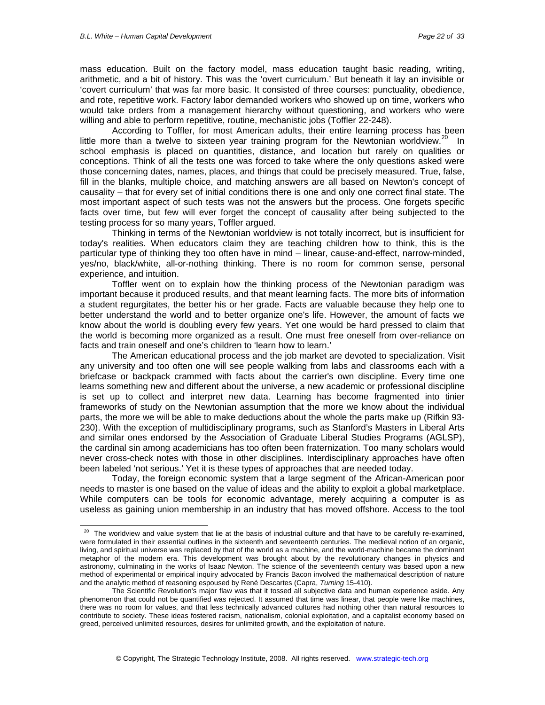-

mass education. Built on the factory model, mass education taught basic reading, writing, arithmetic, and a bit of history. This was the 'overt curriculum.' But beneath it lay an invisible or 'covert curriculum' that was far more basic. It consisted of three courses: punctuality, obedience, and rote, repetitive work. Factory labor demanded workers who showed up on time, workers who would take orders from a management hierarchy without questioning, and workers who were willing and able to perform repetitive, routine, mechanistic jobs (Toffler 22-248).

According to Toffler, for most American adults, their entire learning process has been little more than a twelve to sixteen year training program for the Newtonian worldview.<sup>[20](#page-21-0)</sup> In school emphasis is placed on quantities, distance, and location but rarely on qualities or conceptions. Think of all the tests one was forced to take where the only questions asked were those concerning dates, names, places, and things that could be precisely measured. True, false, fill in the blanks, multiple choice, and matching answers are all based on Newton's concept of causality – that for every set of initial conditions there is one and only one correct final state. The most important aspect of such tests was not the answers but the process. One forgets specific facts over time, but few will ever forget the concept of causality after being subjected to the testing process for so many years, Toffler argued.

Thinking in terms of the Newtonian worldview is not totally incorrect, but is insufficient for today's realities. When educators claim they are teaching children how to think, this is the particular type of thinking they too often have in mind – linear, cause-and-effect, narrow-minded, yes/no, black/white, all-or-nothing thinking. There is no room for common sense, personal experience, and intuition.

Toffler went on to explain how the thinking process of the Newtonian paradigm was important because it produced results, and that meant learning facts. The more bits of information a student regurgitates, the better his or her grade. Facts are valuable because they help one to better understand the world and to better organize one's life. However, the amount of facts we know about the world is doubling every few years. Yet one would be hard pressed to claim that the world is becoming more organized as a result. One must free oneself from over-reliance on facts and train oneself and one's children to 'learn how to learn.'

The American educational process and the job market are devoted to specialization. Visit any university and too often one will see people walking from labs and classrooms each with a briefcase or backpack crammed with facts about the carrier's own discipline. Every time one learns something new and different about the universe, a new academic or professional discipline is set up to collect and interpret new data. Learning has become fragmented into tinier frameworks of study on the Newtonian assumption that the more we know about the individual parts, the more we will be able to make deductions about the whole the parts make up (Rifkin 93- 230). With the exception of multidisciplinary programs, such as Stanford's Masters in Liberal Arts and similar ones endorsed by the Association of Graduate Liberal Studies Programs (AGLSP), the cardinal sin among academicians has too often been fraternization. Too many scholars would never cross-check notes with those in other disciplines. Interdisciplinary approaches have often been labeled 'not serious.' Yet it is these types of approaches that are needed today.

Today, the foreign economic system that a large segment of the African-American poor needs to master is one based on the value of ideas and the ability to exploit a global marketplace. While computers can be tools for economic advantage, merely acquiring a computer is as useless as gaining union membership in an industry that has moved offshore. Access to the tool

<span id="page-21-0"></span><sup>&</sup>lt;sup>20</sup> The worldview and value system that lie at the basis of industrial culture and that have to be carefully re-examined, were formulated in their essential outlines in the sixteenth and seventeenth centuries. The medieval notion of an organic, living, and spiritual universe was replaced by that of the world as a machine, and the world-machine became the dominant metaphor of the modern era. This development was brought about by the revolutionary changes in physics and astronomy, culminating in the works of Isaac Newton. The science of the seventeenth century was based upon a new method of experimental or empirical inquiry advocated by Francis Bacon involved the mathematical description of nature and the analytic method of reasoning espoused by René Descartes (Capra, *Turning* 15-410).

The Scientific Revolution's major flaw was that it tossed all subjective data and human experience aside. Any phenomenon that could not be quantified was rejected. It assumed that time was linear, that people were like machines, there was no room for values, and that less technically advanced cultures had nothing other than natural resources to contribute to society. These ideas fostered racism, nationalism, colonial exploitation, and a capitalist economy based on greed, perceived unlimited resources, desires for unlimited growth, and the exploitation of nature.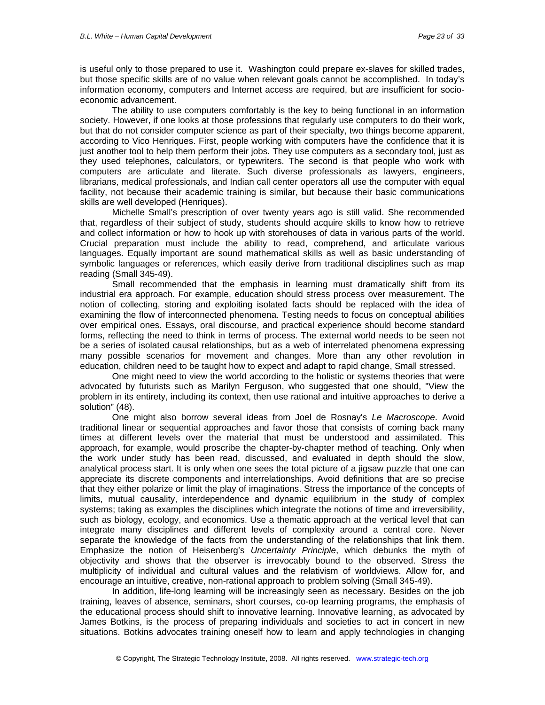is useful only to those prepared to use it. Washington could prepare ex-slaves for skilled trades, but those specific skills are of no value when relevant goals cannot be accomplished. In today's information economy, computers and Internet access are required, but are insufficient for socioeconomic advancement.

The ability to use computers comfortably is the key to being functional in an information society. However, if one looks at those professions that regularly use computers to do their work, but that do not consider computer science as part of their specialty, two things become apparent, according to Vico Henriques. First, people working with computers have the confidence that it is just another tool to help them perform their jobs. They use computers as a secondary tool, just as they used telephones, calculators, or typewriters. The second is that people who work with computers are articulate and literate. Such diverse professionals as lawyers, engineers, librarians, medical professionals, and Indian call center operators all use the computer with equal facility, not because their academic training is similar, but because their basic communications skills are well developed (Henriques).

Michelle Small's prescription of over twenty years ago is still valid. She recommended that, regardless of their subject of study, students should acquire skills to know how to retrieve and collect information or how to hook up with storehouses of data in various parts of the world. Crucial preparation must include the ability to read, comprehend, and articulate various languages. Equally important are sound mathematical skills as well as basic understanding of symbolic languages or references, which easily derive from traditional disciplines such as map reading (Small 345-49).

Small recommended that the emphasis in learning must dramatically shift from its industrial era approach. For example, education should stress process over measurement. The notion of collecting, storing and exploiting isolated facts should be replaced with the idea of examining the flow of interconnected phenomena. Testing needs to focus on conceptual abilities over empirical ones. Essays, oral discourse, and practical experience should become standard forms, reflecting the need to think in terms of process. The external world needs to be seen not be a series of isolated causal relationships, but as a web of interrelated phenomena expressing many possible scenarios for movement and changes. More than any other revolution in education, children need to be taught how to expect and adapt to rapid change, Small stressed.

One might need to view the world according to the holistic or systems theories that were advocated by futurists such as Marilyn Ferguson, who suggested that one should, "View the problem in its entirety, including its context, then use rational and intuitive approaches to derive a solution" (48).

One might also borrow several ideas from Joel de Rosnay's *Le Macroscope*. Avoid traditional linear or sequential approaches and favor those that consists of coming back many times at different levels over the material that must be understood and assimilated. This approach, for example, would proscribe the chapter-by-chapter method of teaching. Only when the work under study has been read, discussed, and evaluated in depth should the slow, analytical process start. It is only when one sees the total picture of a jigsaw puzzle that one can appreciate its discrete components and interrelationships. Avoid definitions that are so precise that they either polarize or limit the play of imaginations. Stress the importance of the concepts of limits, mutual causality, interdependence and dynamic equilibrium in the study of complex systems; taking as examples the disciplines which integrate the notions of time and irreversibility, such as biology, ecology, and economics. Use a thematic approach at the vertical level that can integrate many disciplines and different levels of complexity around a central core. Never separate the knowledge of the facts from the understanding of the relationships that link them. Emphasize the notion of Heisenberg's *Uncertainty Principle*, which debunks the myth of objectivity and shows that the observer is irrevocably bound to the observed. Stress the multiplicity of individual and cultural values and the relativism of worldviews. Allow for, and encourage an intuitive, creative, non-rational approach to problem solving (Small 345-49).

In addition, life-long learning will be increasingly seen as necessary. Besides on the job training, leaves of absence, seminars, short courses, co-op learning programs, the emphasis of the educational process should shift to innovative learning. Innovative learning, as advocated by James Botkins, is the process of preparing individuals and societies to act in concert in new situations. Botkins advocates training oneself how to learn and apply technologies in changing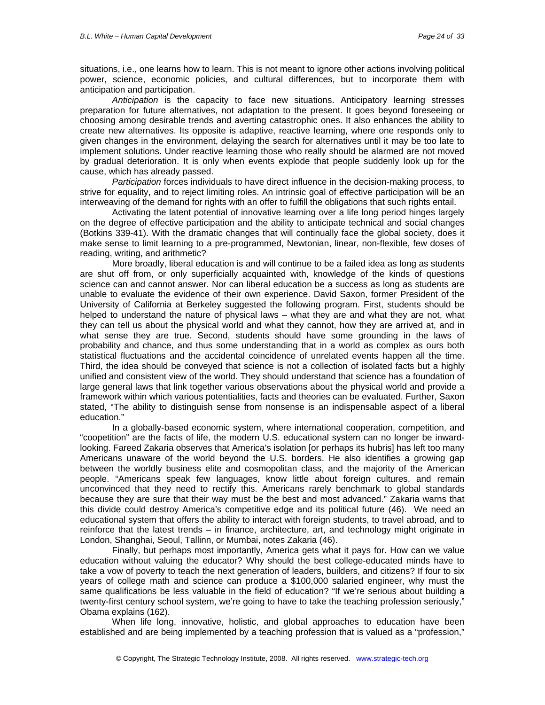situations, i.e., one learns how to learn. This is not meant to ignore other actions involving political power, science, economic policies, and cultural differences, but to incorporate them with anticipation and participation.

*Anticipation* is the capacity to face new situations. Anticipatory learning stresses preparation for future alternatives, not adaptation to the present. It goes beyond foreseeing or choosing among desirable trends and averting catastrophic ones. It also enhances the ability to create new alternatives. Its opposite is adaptive, reactive learning, where one responds only to given changes in the environment, delaying the search for alternatives until it may be too late to implement solutions. Under reactive learning those who really should be alarmed are not moved by gradual deterioration. It is only when events explode that people suddenly look up for the cause, which has already passed.

*Participation* forces individuals to have direct influence in the decision-making process, to strive for equality, and to reject limiting roles. An intrinsic goal of effective participation will be an interweaving of the demand for rights with an offer to fulfill the obligations that such rights entail.

Activating the latent potential of innovative learning over a life long period hinges largely on the degree of effective participation and the ability to anticipate technical and social changes (Botkins 339-41). With the dramatic changes that will continually face the global society, does it make sense to limit learning to a pre-programmed, Newtonian, linear, non-flexible, few doses of reading, writing, and arithmetic?

More broadly, liberal education is and will continue to be a failed idea as long as students are shut off from, or only superficially acquainted with, knowledge of the kinds of questions science can and cannot answer. Nor can liberal education be a success as long as students are unable to evaluate the evidence of their own experience. David Saxon, former President of the University of California at Berkeley suggested the following program. First, students should be helped to understand the nature of physical laws – what they are and what they are not, what they can tell us about the physical world and what they cannot, how they are arrived at, and in what sense they are true. Second, students should have some grounding in the laws of probability and chance, and thus some understanding that in a world as complex as ours both statistical fluctuations and the accidental coincidence of unrelated events happen all the time. Third, the idea should be conveyed that science is not a collection of isolated facts but a highly unified and consistent view of the world. They should understand that science has a foundation of large general laws that link together various observations about the physical world and provide a framework within which various potentialities, facts and theories can be evaluated. Further, Saxon stated, "The ability to distinguish sense from nonsense is an indispensable aspect of a liberal education."

In a globally-based economic system, where international cooperation, competition, and "coopetition" are the facts of life, the modern U.S. educational system can no longer be inwardlooking. Fareed Zakaria observes that America's isolation [or perhaps its hubris] has left too many Americans unaware of the world beyond the U.S. borders. He also identifies a growing gap between the worldly business elite and cosmopolitan class, and the majority of the American people. "Americans speak few languages, know little about foreign cultures, and remain unconvinced that they need to rectify this. Americans rarely benchmark to global standards because they are sure that their way must be the best and most advanced." Zakaria warns that this divide could destroy America's competitive edge and its political future (46). We need an educational system that offers the ability to interact with foreign students, to travel abroad, and to reinforce that the latest trends – in finance, architecture, art, and technology might originate in London, Shanghai, Seoul, Tallinn, or Mumbai, notes Zakaria (46).

Finally, but perhaps most importantly, America gets what it pays for. How can we value education without valuing the educator? Why should the best college-educated minds have to take a vow of poverty to teach the next generation of leaders, builders, and citizens? If four to six years of college math and science can produce a \$100,000 salaried engineer, why must the same qualifications be less valuable in the field of education? "If we're serious about building a twenty-first century school system, we're going to have to take the teaching profession seriously," Obama explains (162).

When life long, innovative, holistic, and global approaches to education have been established and are being implemented by a teaching profession that is valued as a "profession,"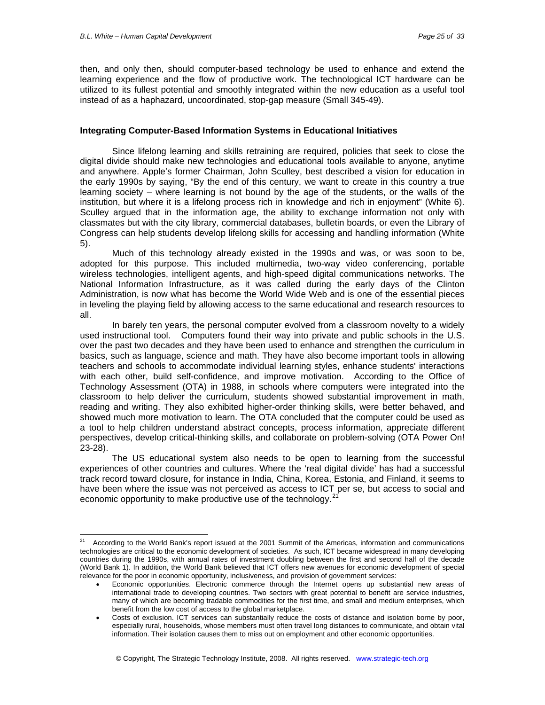-

then, and only then, should computer-based technology be used to enhance and extend the learning experience and the flow of productive work. The technological ICT hardware can be utilized to its fullest potential and smoothly integrated within the new education as a useful tool instead of as a haphazard, uncoordinated, stop-gap measure (Small 345-49).

#### **Integrating Computer-Based Information Systems in Educational Initiatives**

Since lifelong learning and skills retraining are required, policies that seek to close the digital divide should make new technologies and educational tools available to anyone, anytime and anywhere. Apple's former Chairman, John Sculley, best described a vision for education in the early 1990s by saying, "By the end of this century, we want to create in this country a true learning society – where learning is not bound by the age of the students, or the walls of the institution, but where it is a lifelong process rich in knowledge and rich in enjoyment" (White 6). Sculley argued that in the information age, the ability to exchange information not only with classmates but with the city library, commercial databases, bulletin boards, or even the Library of Congress can help students develop lifelong skills for accessing and handling information (White 5).

Much of this technology already existed in the 1990s and was, or was soon to be, adopted for this purpose. This included multimedia, two-way video conferencing, portable wireless technologies, intelligent agents, and high-speed digital communications networks. The National Information Infrastructure, as it was called during the early days of the Clinton Administration, is now what has become the World Wide Web and is one of the essential pieces in leveling the playing field by allowing access to the same educational and research resources to all.

In barely ten years, the personal computer evolved from a classroom novelty to a widely used instructional tool. Computers found their way into private and public schools in the U.S. over the past two decades and they have been used to enhance and strengthen the curriculum in basics, such as language, science and math. They have also become important tools in allowing teachers and schools to accommodate individual learning styles, enhance students' interactions with each other, build self-confidence, and improve motivation. According to the Office of Technology Assessment (OTA) in 1988, in schools where computers were integrated into the classroom to help deliver the curriculum, students showed substantial improvement in math, reading and writing. They also exhibited higher-order thinking skills, were better behaved, and showed much more motivation to learn. The OTA concluded that the computer could be used as a tool to help children understand abstract concepts, process information, appreciate different perspectives, develop critical-thinking skills, and collaborate on problem-solving (OTA Power On! 23-28).

The US educational system also needs to be open to learning from the successful experiences of other countries and cultures. Where the 'real digital divide' has had a successful track record toward closure, for instance in India, China, Korea, Estonia, and Finland, it seems to have been where the issue was not perceived as access to ICT per se, but access to social and economic opportunity to make productive use of the technology. $^{21}$  $^{21}$  $^{21}$ 

<span id="page-24-0"></span>According to the World Bank's report issued at the 2001 Summit of the Americas, information and communications technologies are critical to the economic development of societies. As such, ICT became widespread in many developing countries during the 1990s, with annual rates of investment doubling between the first and second half of the decade (World Bank 1). In addition, the World Bank believed that ICT offers new avenues for economic development of special relevance for the poor in economic opportunity, inclusiveness, and provision of government services:

<sup>•</sup> Economic opportunities. Electronic commerce through the Internet opens up substantial new areas of international trade to developing countries. Two sectors with great potential to benefit are service industries, many of which are becoming tradable commodities for the first time, and small and medium enterprises, which benefit from the low cost of access to the global marketplace.

<sup>•</sup> Costs of exclusion. ICT services can substantially reduce the costs of distance and isolation borne by poor, especially rural, households, whose members must often travel long distances to communicate, and obtain vital information. Their isolation causes them to miss out on employment and other economic opportunities.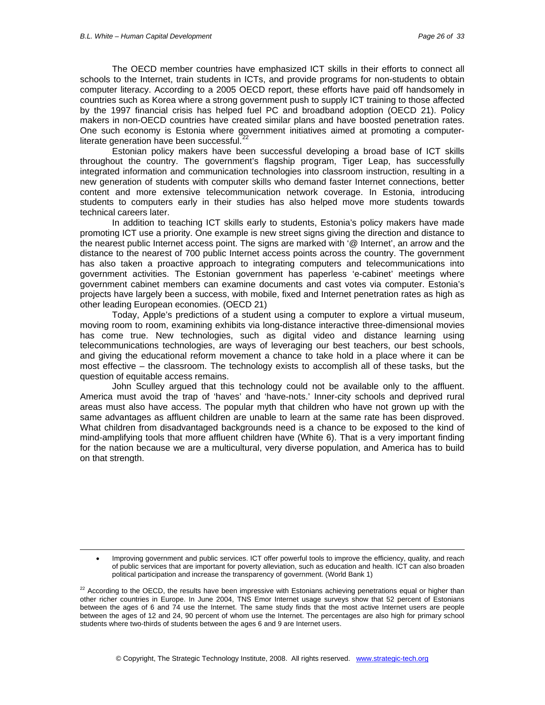1

The OECD member countries have emphasized ICT skills in their efforts to connect all schools to the Internet, train students in ICTs, and provide programs for non-students to obtain computer literacy. According to a 2005 OECD report, these efforts have paid off handsomely in countries such as Korea where a strong government push to supply ICT training to those affected by the 1997 financial crisis has helped fuel PC and broadband adoption (OECD 21). Policy makers in non-OECD countries have created similar plans and have boosted penetration rates. One such economy is Estonia where government initiatives aimed at promoting a computer-literate generation have been successful.<sup>[22](#page-25-0)</sup>

Estonian policy makers have been successful developing a broad base of ICT skills throughout the country. The government's flagship program, Tiger Leap, has successfully integrated information and communication technologies into classroom instruction, resulting in a new generation of students with computer skills who demand faster Internet connections, better content and more extensive telecommunication network coverage. In Estonia, introducing students to computers early in their studies has also helped move more students towards technical careers later.

In addition to teaching ICT skills early to students, Estonia's policy makers have made promoting ICT use a priority. One example is new street signs giving the direction and distance to the nearest public Internet access point. The signs are marked with '@ Internet', an arrow and the distance to the nearest of 700 public Internet access points across the country. The government has also taken a proactive approach to integrating computers and telecommunications into government activities. The Estonian government has paperless 'e-cabinet' meetings where government cabinet members can examine documents and cast votes via computer. Estonia's projects have largely been a success, with mobile, fixed and Internet penetration rates as high as other leading European economies. (OECD 21)

Today, Apple's predictions of a student using a computer to explore a virtual museum, moving room to room, examining exhibits via long-distance interactive three-dimensional movies has come true. New technologies, such as digital video and distance learning using telecommunications technologies, are ways of leveraging our best teachers, our best schools, and giving the educational reform movement a chance to take hold in a place where it can be most effective – the classroom. The technology exists to accomplish all of these tasks, but the question of equitable access remains.

John Sculley argued that this technology could not be available only to the affluent. America must avoid the trap of 'haves' and 'have-nots.' Inner-city schools and deprived rural areas must also have access. The popular myth that children who have not grown up with the same advantages as affluent children are unable to learn at the same rate has been disproved. What children from disadvantaged backgrounds need is a chance to be exposed to the kind of mind-amplifying tools that more affluent children have (White 6). That is a very important finding for the nation because we are a multicultural, very diverse population, and America has to build on that strength.

<sup>•</sup> Improving government and public services. ICT offer powerful tools to improve the efficiency, quality, and reach of public services that are important for poverty alleviation, such as education and health. ICT can also broaden political participation and increase the transparency of government. (World Bank 1)

<span id="page-25-0"></span><sup>&</sup>lt;sup>22</sup> According to the OECD, the results have been impressive with Estonians achieving penetrations equal or higher than other richer countries in Europe. In June 2004, TNS Emor Internet usage surveys show that 52 percent of Estonians between the ages of 6 and 74 use the Internet. The same study finds that the most active Internet users are people between the ages of 12 and 24, 90 percent of whom use the Internet. The percentages are also high for primary school students where two-thirds of students between the ages 6 and 9 are Internet users.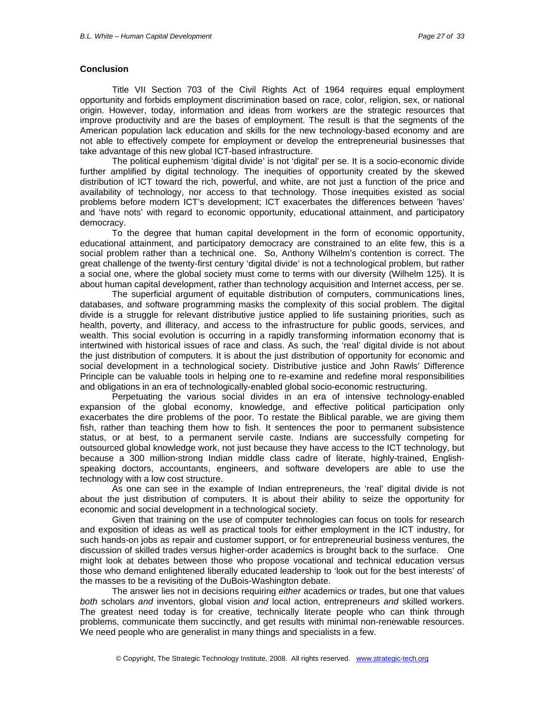#### **Conclusion**

Title VII Section 703 of the Civil Rights Act of 1964 requires equal employment opportunity and forbids employment discrimination based on race, color, religion, sex, or national origin. However, today, information and ideas from workers are the strategic resources that improve productivity and are the bases of employment. The result is that the segments of the American population lack education and skills for the new technology-based economy and are not able to effectively compete for employment or develop the entrepreneurial businesses that take advantage of this new global ICT-based infrastructure.

The political euphemism 'digital divide' is not 'digital' per se. It is a socio-economic divide further amplified by digital technology. The inequities of opportunity created by the skewed distribution of ICT toward the rich, powerful, and white, are not just a function of the price and availability of technology, nor access to that technology. Those inequities existed as social problems before modern ICT's development; ICT exacerbates the differences between 'haves' and 'have nots' with regard to economic opportunity, educational attainment, and participatory democracy.

To the degree that human capital development in the form of economic opportunity, educational attainment, and participatory democracy are constrained to an elite few, this is a social problem rather than a technical one. So, Anthony Wilhelm's contention is correct. The great challenge of the twenty-first century 'digital divide' is not a technological problem, but rather a social one, where the global society must come to terms with our diversity (Wilhelm 125). It is about human capital development, rather than technology acquisition and Internet access, per se.

The superficial argument of equitable distribution of computers, communications lines, databases, and software programming masks the complexity of this social problem. The digital divide is a struggle for relevant distributive justice applied to life sustaining priorities, such as health, poverty, and illiteracy, and access to the infrastructure for public goods, services, and wealth. This social evolution is occurring in a rapidly transforming information economy that is intertwined with historical issues of race and class. As such, the 'real' digital divide is not about the just distribution of computers. It is about the just distribution of opportunity for economic and social development in a technological society. Distributive justice and John Rawls' Difference Principle can be valuable tools in helping one to re-examine and redefine moral responsibilities and obligations in an era of technologically-enabled global socio-economic restructuring.

Perpetuating the various social divides in an era of intensive technology-enabled expansion of the global economy, knowledge, and effective political participation only exacerbates the dire problems of the poor. To restate the Biblical parable, we are giving them fish, rather than teaching them how to fish. It sentences the poor to permanent subsistence status, or at best, to a permanent servile caste. Indians are successfully competing for outsourced global knowledge work, not just because they have access to the ICT technology, but because a 300 million-strong Indian middle class cadre of literate, highly-trained, Englishspeaking doctors, accountants, engineers, and software developers are able to use the technology with a low cost structure.

As one can see in the example of Indian entrepreneurs, the 'real' digital divide is not about the just distribution of computers. It is about their ability to seize the opportunity for economic and social development in a technological society.

Given that training on the use of computer technologies can focus on tools for research and exposition of ideas as well as practical tools for either employment in the ICT industry, for such hands-on jobs as repair and customer support, or for entrepreneurial business ventures, the discussion of skilled trades versus higher-order academics is brought back to the surface. One might look at debates between those who propose vocational and technical education versus those who demand enlightened liberally educated leadership to 'look out for the best interests' of the masses to be a revisiting of the DuBois-Washington debate.

The answer lies not in decisions requiring *either* academics *or* trades, but one that values *both* scholars *and* inventors, global vision *and* local action, entrepreneurs *and* skilled workers. The greatest need today is for creative, technically literate people who can think through problems, communicate them succinctly, and get results with minimal non-renewable resources. We need people who are generalist in many things and specialists in a few.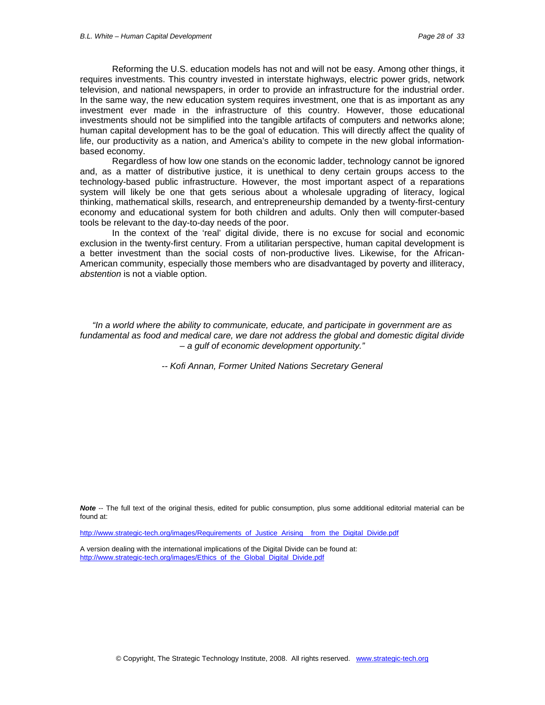Reforming the U.S. education models has not and will not be easy. Among other things, it requires investments. This country invested in interstate highways, electric power grids, network television, and national newspapers, in order to provide an infrastructure for the industrial order. In the same way, the new education system requires investment, one that is as important as any investment ever made in the infrastructure of this country. However, those educational investments should not be simplified into the tangible artifacts of computers and networks alone; human capital development has to be the goal of education. This will directly affect the quality of life, our productivity as a nation, and America's ability to compete in the new global informationbased economy.

Regardless of how low one stands on the economic ladder, technology cannot be ignored and, as a matter of distributive justice, it is unethical to deny certain groups access to the technology-based public infrastructure. However, the most important aspect of a reparations system will likely be one that gets serious about a wholesale upgrading of literacy, logical thinking, mathematical skills, research, and entrepreneurship demanded by a twenty-first-century economy and educational system for both children and adults. Only then will computer-based tools be relevant to the day-to-day needs of the poor.

In the context of the 'real' digital divide, there is no excuse for social and economic exclusion in the twenty-first century. From a utilitarian perspective, human capital development is a better investment than the social costs of non-productive lives. Likewise, for the African-American community, especially those members who are disadvantaged by poverty and illiteracy, *abstention* is not a viable option.

*"In a world where the ability to communicate, educate, and participate in government are as fundamental as food and medical care, we dare not address the global and domestic digital divide – a gulf of economic development opportunity."* 

*-- Kofi Annan, Former United Nations Secretary General* 

*Note* -- The full text of the original thesis, edited for public consumption, plus some additional editorial material can be found at:

[http://www.strategic-tech.org/images/Requirements\\_of\\_Justice\\_Arising\\_\\_from\\_the\\_Digital\\_Divide.pdf](http://www.strategic-tech.org/images/Requirements_of_Justice_Arising__from_the_Digital_Divide.pdf)

A version dealing with the international implications of the Digital Divide can be found at: [http://www.strategic-tech.org/images/Ethics\\_of\\_the\\_Global\\_Digital\\_Divide.pdf](http://www.strategic-tech.org/images/Ethics_of_the_Global_Digital_Divide.pdf)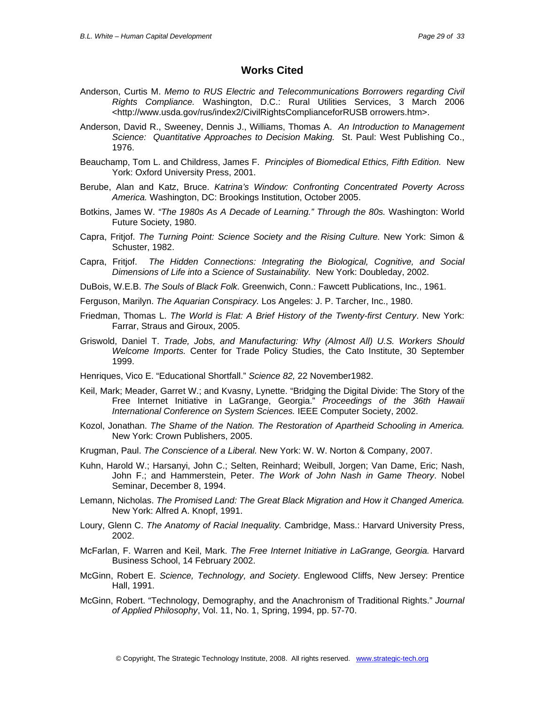### **Works Cited**

- Anderson, Curtis M. *Memo to RUS Electric and Telecommunications Borrowers regarding Civil Rights Compliance.* Washington, D.C.: Rural Utilities Services, 3 March 2006 <http://www.usda.gov/rus/index2/CivilRightsComplianceforRUSB orrowers.htm>.
- Anderson, David R., Sweeney, Dennis J., Williams, Thomas A. *An Introduction to Management Science: Quantitative Approaches to Decision Making.* St. Paul: West Publishing Co., 1976.
- Beauchamp, Tom L. and Childress, James F. *Principles of Biomedical Ethics, Fifth Edition.* New York: Oxford University Press, 2001.
- Berube, Alan and Katz, Bruce. *Katrina's Window: Confronting Concentrated Poverty Across America.* Washington, DC: Brookings Institution, October 2005.
- Botkins, James W. *"The 1980s As A Decade of Learning." Through the 80s.* Washington: World Future Society, 1980.
- Capra, Fritjof. *The Turning Point: Science Society and the Rising Culture.* New York: Simon & Schuster, 1982.
- Capra, Fritjof. *The Hidden Connections: Integrating the Biological, Cognitive, and Social Dimensions of Life into a Science of Sustainability.* New York: Doubleday, 2002.
- DuBois, W.E.B. *The Souls of Black Folk.* Greenwich, Conn.: Fawcett Publications, Inc., 1961.
- Ferguson, Marilyn. *The Aquarian Conspiracy.* Los Angeles: J. P. Tarcher, Inc., 1980.
- Friedman, Thomas L. *The World is Flat: A Brief History of the Twenty-first Century*. New York: Farrar, Straus and Giroux, 2005.
- Griswold, Daniel T. *Trade, Jobs, and Manufacturing: Why (Almost All) U.S. Workers Should Welcome Imports.* Center for Trade Policy Studies, the Cato Institute, 30 September 1999.
- Henriques, Vico E. "Educational Shortfall." *Science 82,* 22 November1982.
- Keil, Mark; Meader, Garret W.; and Kvasny, Lynette. "Bridging the Digital Divide: The Story of the Free Internet Initiative in LaGrange, Georgia." *Proceedings of the 36th Hawaii International Conference on System Sciences.* IEEE Computer Society, 2002.
- Kozol, Jonathan. *The Shame of the Nation. The Restoration of Apartheid Schooling in America.* New York: Crown Publishers, 2005.
- Krugman, Paul. *The Conscience of a Liberal.* New York: W. W. Norton & Company, 2007.
- Kuhn, Harold W.; Harsanyi, John C.; Selten, Reinhard; Weibull, Jorgen; Van Dame, Eric; Nash, John F.; and Hammerstein, Peter. *The Work of John Nash in Game Theory*. Nobel Seminar, December 8, 1994.
- Lemann, Nicholas. *The Promised Land: The Great Black Migration and How it Changed America.*  New York: Alfred A. Knopf, 1991.
- Loury, Glenn C. *The Anatomy of Racial Inequality.* Cambridge, Mass.: Harvard University Press, 2002.
- McFarlan, F. Warren and Keil, Mark. *The Free Internet Initiative in LaGrange, Georgia.* Harvard Business School, 14 February 2002.
- McGinn, Robert E. *Science, Technology, and Society*. Englewood Cliffs, New Jersey: Prentice Hall, 1991.
- McGinn, Robert. "Technology, Demography, and the Anachronism of Traditional Rights." *Journal of Applied Philosophy*, Vol. 11, No. 1, Spring, 1994, pp. 57-70.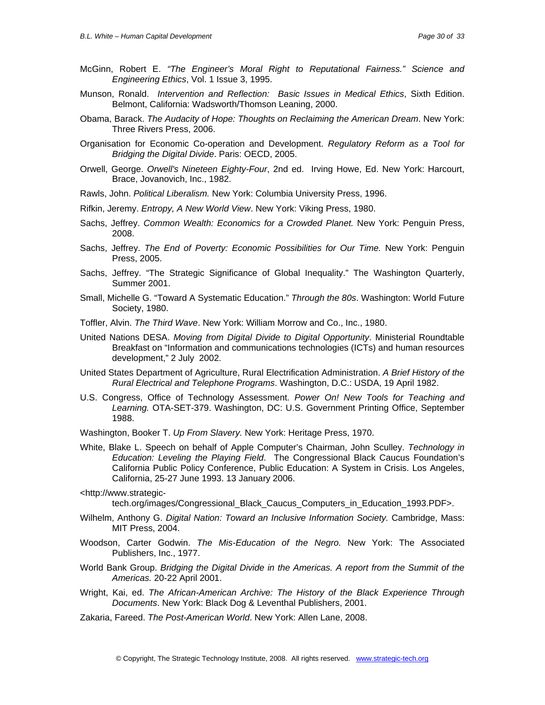- McGinn, Robert E. *"The Engineer's Moral Right to Reputational Fairness." Science and Engineering Ethics*, Vol. 1 Issue 3, 1995.
- Munson, Ronald. *Intervention and Reflection: Basic Issues in Medical Ethics*, Sixth Edition. Belmont, California: Wadsworth/Thomson Leaning, 2000.
- Obama, Barack. *The Audacity of Hope: Thoughts on Reclaiming the American Dream*. New York: Three Rivers Press, 2006.
- Organisation for Economic Co-operation and Development. *Regulatory Reform as a Tool for Bridging the Digital Divide*. Paris: OECD, 2005.
- Orwell, George. *Orwell's Nineteen Eighty-Four*, 2nd ed. Irving Howe, Ed. New York: Harcourt, Brace, Jovanovich, Inc., 1982.
- Rawls, John. *Political Liberalism.* New York: Columbia University Press, 1996.
- Rifkin, Jeremy. *Entropy, A New World View*. New York: Viking Press, 1980.
- Sachs, Jeffrey. *Common Wealth: Economics for a Crowded Planet.* New York: Penguin Press, 2008.
- Sachs, Jeffrey. *The End of Poverty: Economic Possibilities for Our Time.* New York: Penguin Press, 2005.
- Sachs, Jeffrey. "The Strategic Significance of Global Inequality." The Washington Quarterly, Summer 2001.
- Small, Michelle G. "Toward A Systematic Education." *Through the 80s*. Washington: World Future Society, 1980.
- Toffler, Alvin. *The Third Wave*. New York: William Morrow and Co., Inc., 1980.
- United Nations DESA. *Moving from Digital Divide to Digital Opportunity*. Ministerial Roundtable Breakfast on "Information and communications technologies (ICTs) and human resources development," 2 July 2002.
- United States Department of Agriculture, Rural Electrification Administration. *A Brief History of the Rural Electrical and Telephone Programs*. Washington, D.C.: USDA, 19 April 1982.
- U.S. Congress, Office of Technology Assessment. *Power On! New Tools for Teaching and Learning.* OTA-SET-379. Washington, DC: U.S. Government Printing Office, September 1988.
- Washington, Booker T. *Up From Slavery.* New York: Heritage Press, 1970.
- White, Blake L. Speech on behalf of Apple Computer's Chairman, John Sculley. *Technology in Education: Leveling the Playing Field*. The Congressional Black Caucus Foundation's California Public Policy Conference, Public Education: A System in Crisis. Los Angeles, California, 25-27 June 1993. 13 January 2006.
- <http://www.strategic-

tech.org/images/Congressional\_Black\_Caucus\_Computers\_in\_Education\_1993.PDF>.

- Wilhelm, Anthony G. *Digital Nation: Toward an Inclusive Information Society.* Cambridge, Mass: MIT Press, 2004.
- Woodson, Carter Godwin. *The Mis-Education of the Negro.* New York: The Associated Publishers, Inc., 1977.
- World Bank Group. *Bridging the Digital Divide in the Americas. A report from the Summit of the Americas.* 20-22 April 2001.
- Wright, Kai, ed. *The African-American Archive: The History of the Black Experience Through Documents*. New York: Black Dog & Leventhal Publishers, 2001.
- Zakaria, Fareed. *The Post-American World*. New York: Allen Lane, 2008.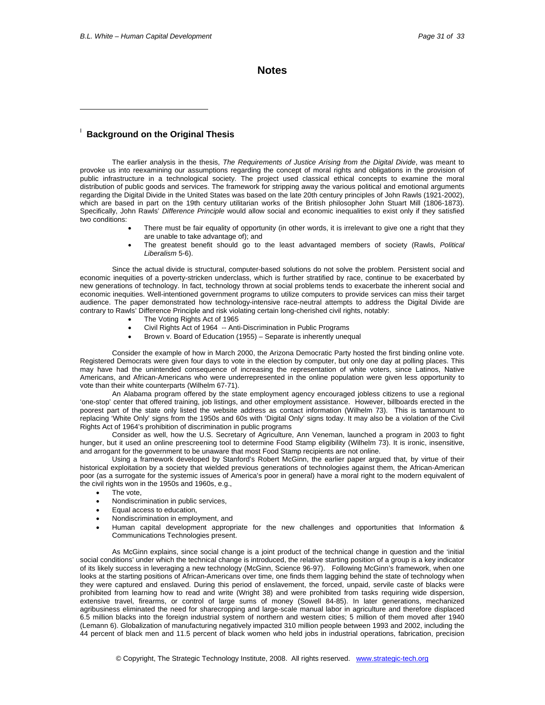$\overline{a}$ 

**Notes**

### **Background on the Original Thesis**

The earlier analysis in the thesis, *The Requirements of Justice Arising from the Digital Divide*, was meant to provoke us into reexamining our assumptions regarding the concept of moral rights and obligations in the provision of public infrastructure in a technological society. The project used classical ethical concepts to examine the moral distribution of public goods and services. The framework for stripping away the various political and emotional arguments regarding the Digital Divide in the United States was based on the late 20th century principles of John Rawls (1921-2002), which are based in part on the 19th century utilitarian works of the British philosopher John Stuart Mill (1806-1873). Specifically, John Rawls' *Difference Principle* would allow social and economic inequalities to exist only if they satisfied two conditions:

- There must be fair equality of opportunity (in other words, it is irrelevant to give one a right that they are unable to take advantage of); and
- The greatest benefit should go to the least advantaged members of society (Rawls, *Political Liberalism* 5-6).

Since the actual divide is structural, computer-based solutions do not solve the problem. Persistent social and economic inequities of a poverty-stricken underclass, which is further stratified by race, continue to be exacerbated by new generations of technology. In fact, technology thrown at social problems tends to exacerbate the inherent social and economic inequities. Well-intentioned government programs to utilize computers to provide services can miss their target audience. The paper demonstrated how technology-intensive race-neutral attempts to address the Digital Divide are contrary to Rawls' Difference Principle and risk violating certain long-cherished civil rights, notably:

- The Voting Rights Act of 1965
- Civil Rights Act of 1964 -- Anti-Discrimination in Public Programs
- Brown v. Board of Education (1955) Separate is inherently unequal

Consider the example of how in March 2000, the Arizona Democratic Party hosted the first binding online vote. Registered Democrats were given four days to vote in the election by computer, but only one day at polling places. This may have had the unintended consequence of increasing the representation of white voters, since Latinos, Native Americans, and African-Americans who were underrepresented in the online population were given less opportunity to vote than their white counterparts (Wilhelm 67-71).

An Alabama program offered by the state employment agency encouraged jobless citizens to use a regional 'one-stop' center that offered training, job listings, and other employment assistance. However, billboards erected in the poorest part of the state only listed the website address as contact information (Wilhelm 73). This is tantamount to replacing 'White Only' signs from the 1950s and 60s with 'Digital Only' signs today. It may also be a violation of the Civil Rights Act of 1964's prohibition of discrimination in public programs

Consider as well, how the U.S. Secretary of Agriculture, Ann Veneman, launched a program in 2003 to fight hunger, but it used an online prescreening tool to determine Food Stamp eligibility (Wilhelm 73). It is ironic, insensitive, and arrogant for the government to be unaware that most Food Stamp recipients are not online.

Using a framework developed by Stanford's Robert McGinn, the earlier paper argued that, by virtue of their historical exploitation by a society that wielded previous generations of technologies against them, the African-American poor (as a surrogate for the systemic issues of America's poor in general) have a moral right to the modern equivalent of the civil rights won in the 1950s and 1960s, e.g.,

- The vote.
- Nondiscrimination in public services,
- Equal access to education,
- Nondiscrimination in employment, and
- Human capital development appropriate for the new challenges and opportunities that Information & Communications Technologies present.

As McGinn explains, since social change is a joint product of the technical change in question and the 'initial social conditions' under which the technical change is introduced, the relative starting position of a group is a key indicator of its likely success in leveraging a new technology (McGinn, Science 96-97). Following McGinn's framework, when one looks at the starting positions of African-Americans over time, one finds them lagging behind the state of technology when they were captured and enslaved. During this period of enslavement, the forced, unpaid, servile caste of blacks were prohibited from learning how to read and write (Wright 38) and were prohibited from tasks requiring wide dispersion, extensive travel, firearms, or control of large sums of money (Sowell 84-85). In later generations, mechanized agribusiness eliminated the need for sharecropping and large-scale manual labor in agriculture and therefore displaced 6.5 million blacks into the foreign industrial system of northern and western cities; 5 million of them moved after 1940 (Lemann 6). Globalization of manufacturing negatively impacted 310 million people between 1993 and 2002, including the 44 percent of black men and 11.5 percent of black women who held jobs in industrial operations, fabrication, precision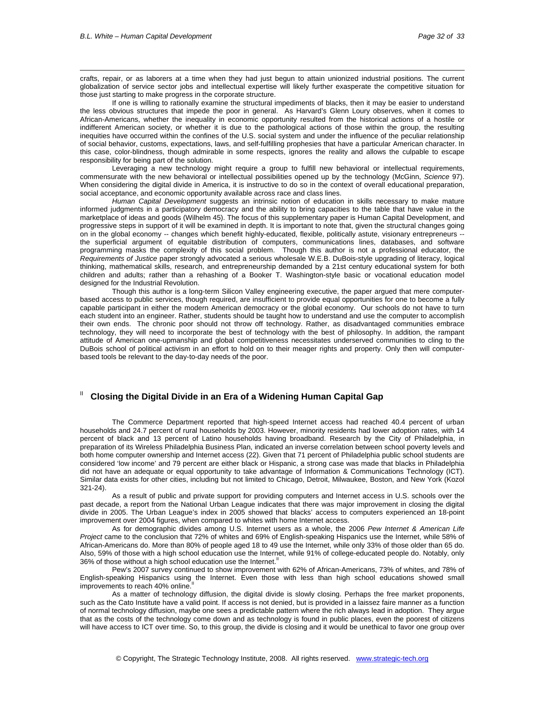$\overline{a}$ 

crafts, repair, or as laborers at a time when they had just begun to attain unionized industrial positions. The current globalization of service sector jobs and intellectual expertise will likely further exasperate the competitive situation for those just starting to make progress in the corporate structure.

If one is willing to rationally examine the structural impediments of blacks, then it may be easier to understand the less obvious structures that impede the poor in general. As Harvard's Glenn Loury observes, when it comes to African-Americans, whether the inequality in economic opportunity resulted from the historical actions of a hostile or indifferent American society, or whether it is due to the pathological actions of those within the group, the resulting inequities have occurred within the confines of the U.S. social system and under the influence of the peculiar relationship of social behavior, customs, expectations, laws, and self-fulfilling prophesies that have a particular American character. In this case, color-blindness, though admirable in some respects, ignores the reality and allows the culpable to escape responsibility for being part of the solution.

Leveraging a new technology might require a group to fulfill new behavioral or intellectual requirements, commensurate with the new behavioral or intellectual possibilities opened up by the technology (McGinn, *Science* 97). When considering the digital divide in America, it is instructive to do so in the context of overall educational preparation, social acceptance, and economic opportunity available across race and class lines.

*Human Capital Development* suggests an intrinsic notion of education in skills necessary to make mature informed judgments in a participatory democracy and the ability to bring capacities to the table that have value in the marketplace of ideas and goods (Wilhelm 45). The focus of this supplementary paper is Human Capital Development, and progressive steps in support of it will be examined in depth. It is important to note that, given the structural changes going on in the global economy -- changes which benefit highly-educated, flexible, politically astute, visionary entrepreneurs - the superficial argument of equitable distribution of computers, communications lines, databases, and software programming masks the complexity of this social problem. Though this author is not a professional educator, the *Requirements of Justice* paper strongly advocated a serious wholesale W.E.B. DuBois-style upgrading of literacy, logical thinking, mathematical skills, research, and entrepreneurship demanded by a 21st century educational system for both children and adults; rather than a rehashing of a Booker T. Washington-style basic or vocational education model designed for the Industrial Revolution.

Though this author is a long-term Silicon Valley engineering executive, the paper argued that mere computerbased access to public services, though required, are insufficient to provide equal opportunities for one to become a fully capable participant in either the modern American democracy or the global economy. Our schools do not have to turn each student into an engineer. Rather, students should be taught how to understand and use the computer to accomplish their own ends. The chronic poor should not throw off technology. Rather, as disadvantaged communities embrace technology, they will need to incorporate the best of technology with the best of philosophy. In addition, the rampant attitude of American one-upmanship and global competitiveness necessitates underserved communities to cling to the DuBois school of political activism in an effort to hold on to their meager rights and property. Only then will computerbased tools be relevant to the day-to-day needs of the poor.

#### **Closing the Digital Divide in an Era of a Widening Human Capital Gap**

The Commerce Department reported that high-speed Internet access had reached 40.4 percent of urban households and 24.7 percent of rural households by 2003. However, minority residents had lower adoption rates, with 14 percent of black and 13 percent of Latino households having broadband. Research by the City of Philadelphia, in preparation of its Wireless Philadelphia Business Plan, indicated an inverse correlation between school poverty levels and both home computer ownership and Internet access (22). Given that 71 percent of Philadelphia public school students are considered 'low income' and 79 percent are either black or Hispanic, a strong case was made that blacks in Philadelphia did not have an adequate or equal opportunity to take advantage of Information & Communications Technology (ICT). Similar data exists for other cities, including but not limited to Chicago, Detroit, Milwaukee, Boston, and New York (Kozol 321-24).

As a result of public and private support for providing computers and Internet access in U.S. schools over the past decade, a report from the National Urban League indicates that there was major improvement in closing the digital divide in 2005. The Urban League's index in 2005 showed that blacks' access to computers experienced an 18-point improvement over 2004 figures, when compared to whites with home Internet access.

As for demographic divides among U.S. Internet users as a whole, the 2006 *Pew Internet & American Life Project* came to the conclusion that 72% of whites and 69% of English-speaking Hispanics use the Internet, while 58% of African-Americans do. More than 80% of people aged 18 to 49 use the Internet, while only 33% of those older than 65 do. Also, 59% of those with a high school education use the Internet, while 91% of college-educated people do. Notably, only 36% of those without a high school education use the Internet.<sup>"</sup>

Pew's 2007 survey continued to show improvement with 62% of African-Americans, 73% of whites, and 78% of English-speaking Hispanics using the Internet. Even those with less than high school educations showed small improvements to reach 40% online.

As a matter of technology diffusion, the digital divide is slowly closing. Perhaps the free market proponents, such as the Cato Institute have a valid point. If access is not denied, but is provided in a laissez faire manner as a function of normal technology diffusion, maybe one sees a predictable pattern where the rich always lead in adoption. They argue that as the costs of the technology come down and as technology is found in public places, even the poorest of citizens will have access to ICT over time. So, to this group, the divide is closing and it would be unethical to favor one group over